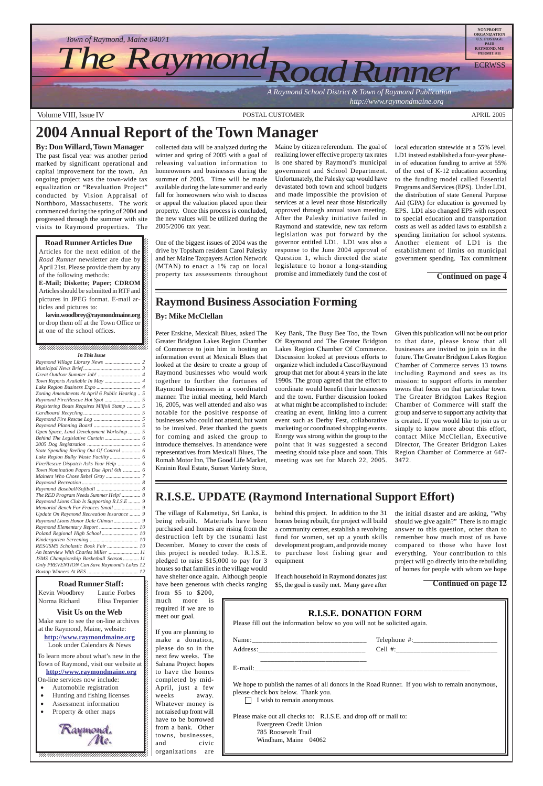$123$ Norma Richard Elisa Trepanier K 12345678901234567890123456789012123456789012345678 12345678901234567890123456789012123456789012345678 **Visit Us on the Web** 12345678901234567890123456789012123456789012345678 Make sure to see the on-line archives  $\cancel{z}$ at the Raymond, Maine, website: **http://www.raymondmaine.org** Look under Calendars  $&$  News 12345678901234567890123456789012345678901234567890123456789012345678901234567890123456789012345678901234567890 12345678901234567890123456789012123456789012345678 12345678901234567890123456789012123456789012345678 To learn more about what's new in the  $\cancel{E}$ Town of Raymond, visit our website at  $\cancel{\mathcal{E}}$  $1235678901234567890123456789012345678901234567890123456789012345678901234567890123456789012345678901234567890123456789012345678901234567890123456789012345678901234567890123456789012345678901234567890123456789012345678901$ **http://www.raymondmaine.org** On-line services now include:  $\epsilon$ 12345678901234567890123456789012123456789012345678 • Automobile registration 12345678901234567890123456789012123456789012345678 • Hunting and fishing licenses 12345678901234567890123456789012123456789012345678 • Assessment information 12345678901234567890123456789012123456789012345678 • Property & other maps  $123$ 12345678901234567890123456789012123456789012345678  $\blacksquare$ 12345678901234567890123456789012123456789012345678 Raymond.<br>Me. 12345678901234567890123456789012123456789012345678 12345678901234567890123456789012123456789012345678 12345678901234567890123456789012123456789012345678 12345678901234567890123456789012123456789012345678 12345678901234567890123456789012123456789012345678



Volume VIII, Issue IV and the Contract of the Contract of POSTAL CUSTOMER APRIL 2005 APRIL 2005

12345678901234567890123456789012123456789012345678  $1235678901234587890123456789012345678901234567890123456789012345678901234567890123456789012345678901234567890123456789012345678901234567890123456789012345678901234567890123456789012345678901234567890123456789012345678901$ 

 $18.8$  8  $18.8$  8  $18.8$  8  $18.8$  8  $18.8$  8  $18.8$  8  $18.8$  8  $18.8$  8  $18.8$  8  $18.8$  8  $18.8$  8  $18.8$  8  $18.8$  8  $18.8$  8  $18.8$  8  $18.8$  8  $18.8$  8  $18.8$  8  $18.8$  8  $18.8$  8  $18.8$  8  $18.8$  8  $18.8$  8  $18.8$  8  $18.8$ 

Articles for the next edition of the  $\%$ *Road Runner* newsletter are due by  $\%$  $1234587890123458789012345678901234567890123456789012345678901234567890123456789012345678901234567890123456789012345678901234567890123456789012345678901234567890123456789012345678901234567890123456789012345678901234567890$ April 21st. Please provide them by any  $\mathcal{Z}$ of the following methods:  $1235678901234567890123456789012345678901234567890123456789012345678901234567890123456789012345678901234567890123456789012345678901234567890123456789012345678901234567890123456789012345678901234567890123456789012345678901$ **E-Mail; Diskette; Paper; CDROM** 

Articles should be submitted in RTF and  $\mathbb Z$ pictures in JPEG format. E-mail ar- $\mathscr{L}$  $18.8$  8  $18.8$  8  $18.8$  8  $18.8$  8  $18.8$  8  $18.8$  8  $18.8$  8  $18.8$  8  $18.8$  8  $18.8$  8  $18.8$  8  $18.8$  8  $18.8$  8  $18.8$  8  $18.8$  8  $18.8$  8  $18.8$  8  $18.8$  8  $18.8$  8  $18.8$  8  $18.8$  8  $18.8$  8  $18.8$  8  $18.8$  8  $18.8$ ticles and pictures to:  $\%$ 

**kevin.woodbrey@raymondmaine.org** 12345678901234567890123456789012123456789012345678 or drop them off at the Town Office or  $\cancel{\%}$ at one of the school offices.  $1235678901234567890123456789012345678901234567890123456789012345678901234567890123456789012345678901234567890123456789012345678901234567890123456789012345678901234567890123456789012345678901234567890123456789012345678901$ 

 $1235678901234567890123456789012345678901234567890123456789012345678901234567890123456789012345678901234567890123456789012345678901234567890123456789012345678901234567890123456789012345678901234567890123456789012345678901$  $1235678901234587890123456789012345678901234567890123456789012345678901234567890123456789012345678901234567890123456789012345678901234567890123456789012345678901234567890123456789012345678901234567890123456789012345678901$  $\blacksquare$ 

#### $1233458901234589012345890123478901234789012347890123478901234789012347890123478901234789012347890123478901234789012347890123478901234789012347890123478901234789012347890123478901234789012347890123478901234789012347890123$ 12345678901234567890123456789012123456789012345678 12345678901234567890123456789012123456789012345678 *In This Issue*

| Zoning Amendments At April 6 Public Hearing  5 |
|------------------------------------------------|
|                                                |
| Registering Boats Requires Milfoil Stamp  5    |
|                                                |
|                                                |
|                                                |
| Open Space, Land Development Workshop  5       |
|                                                |
|                                                |
| State Spending Reeling Out Of Control  6       |
|                                                |
|                                                |
| Town Nomination Papers Due April 6th  6        |
|                                                |
|                                                |
|                                                |
| The RED Program Needs Summer Help!  8          |
| Raymond Lions Club Is Supporting R.I.S.E  9    |
|                                                |
| Update On Raymond Recreation Insurance  9      |
|                                                |
| Raymond Elementary Report  10                  |
| Poland Regional High School  10                |
|                                                |
| RES/JSMS Scholastic Book Fair  10              |
| An Interview With Charles Miller  11           |
| JSMS Championship Basketball Season  11        |
| Only PREVENTION Can Save Raymond's Lakes 12    |
| <b>Boxton Winners At RES</b><br>$\sim$ 12      |

12345678901234567890123456789012345678901234567890123456789012345678901234567890123456789012345678901234567890 **Road Runner Staff:** 12345678901234567890123456789012123456789012345678 Kevin Woodbrey Laurie Forbes  $\boldsymbol{\xi}$ 

The village of Kalametiya, Sri Lanka, is being rebuilt. Materials have been purchased and homes are rising from the destruction left by the tsunami last December. Money to cover the costs of this project is needed today. R.I.S.E. pledged to raise \$15,000 to pay for 3 houses so that families in the village would have shelter once again. Although people have been generous with checks ranging from \$5 to \$200, much more is required if we are to meet our goal. If you are planning to make a donation, please do so in the next few weeks. The Sahana Project hopes to have the homes completed by mid-April, just a few weeks away. Whatever money is not raised up front will have to be borrowed from a bank. Other towns, businesses, and civic organizations are

**By: Don Willard, Town Manager** The past fiscal year was another period marked by significant operational and capital improvement for the town. An ongoing project was the town-wide tax equalization or "Revaluation Project" conducted by Vision Appraisal of Northboro, Massachusetts. The work commenced during the spring of 2004 and progressed through the summer with site visits to Raymond properties. The

#### **Road Runner Articles Due**

collected data will be analyzed during the winter and spring of 2005 with a goal of releasing valuation information to homeowners and businesses during the summer of 2005. Time will be made available during the late summer and early fall for homeowners who wish to discuss or appeal the valuation placed upon their property. Once this process is concluded, the new values will be utilized during the 2005/2006 tax year.

One of the biggest issues of 2004 was the drive by Topsham resident Carol Palesky and her Maine Taxpayers Action Network (MTAN) to enact a 1% cap on local property tax assessments throughout Maine by citizen referendum. The goal of realizing lower effective property tax rates is one shared by Raymond's municipal government and School Department. Unfortunately, the Palesky cap would have devastated both town and school budgets and made impossible the provision of services at a level near those historically approved through annual town meeting. After the Palesky initiative failed in Raymond and statewide, new tax reform legislation was put forward by the governor entitled LD1. LD1 was also a response to the June 2004 approval of Question 1, which directed the state legislature to honor a long-standing promise and immediately fund the cost of

local education statewide at a 55% level. LD1 instead established a four-year phasein of education funding to arrive at 55% of the cost of K-12 education according to the funding model called Essential Programs and Services (EPS). Under LD1, the distribution of state General Purpose Aid (GPA) for education is governed by EPS. LD1 also changed EPS with respect to special education and transportation costs as well as added laws to establish a spending limitation for school systems. Another element of LD1 is the establishment of limits on municipal government spending. Tax commitment

#### **By: Mike McClellan**

Peter Erskine, Mexicali Blues, asked The Greater Bridgton Lakes Region Chamber of Commerce to join him in hosting an information event at Mexicali Blues that looked at the desire to create a group of Raymond businesses who would work together to further the fortunes of Raymond businesses in a coordinated manner. The initial meeting, held March 16, 2005, was well attended and also was notable for the positive response of businesses who could not attend, but want to be involved. Peter thanked the guests for coming and asked the group to introduce themselves. In attendance were representatives from Mexicali Blues, The Romah Motor Inn, The Good Life Market, Krainin Real Estate, Sunset Variety Store,

Key Bank, The Busy Bee Too, the Town Of Raymond and The Greater Bridgton Lakes Region Chamber Of Commerce. Discussion looked at previous efforts to organize which included a Casco/Raymond group that met for about 4 years in the late 1990s. The group agreed that the effort to coordinate would benefit their businesses and the town. Further discussion looked at what might be accomplished to include: creating an event, linking into a current event such as Derby Fest, collaborative marketing or coordinated shopping events. Energy was strong within the group to the point that it was suggested a second meeting should take place and soon. This meeting was set for March 22, 2005.

Given this publication will not be out prior to that date, please know that all businesses are invited to join us in the future. The Greater Bridgton Lakes Region Chamber of Commerce serves 13 towns including Raymond and sees as its mission: to support efforts in member towns that focus on that particular town. The Greater Bridgton Lakes Region Chamber of Commerce will staff the group and serve to support any activity that is created. If you would like to join us or simply to know more about this effort, contact Mike McClellan, Executive Director, The Greater Bridgton Lakes Region Chamber of Commerce at 647- 3472.

behind this project. In addition to the 31 homes being rebuilt, the project will build a community center, establish a revolving fund for women, set up a youth skills development program, and provide money to purchase lost fishing gear and equipment

If each household in Raymond donates just \$5, the goal is easily met. Many gave after

the initial disaster and are asking, "Why should we give again?" There is no magic answer to this question, other than to remember how much most of us have compared to those who have lost everything. Your contribution to this project will go directly into the rebuilding of homes for people with whom we hope

### **R.I.S.E. UPDATE (Raymond International Support Effort)**

**Continued on page 12**

# **2004 Annual Report of the Town Manager**

**Continued on page 4**

#### **Raymond Business Association Forming**

| <b>R.I.S.E. DONATION FORM</b><br>Please fill out the information below so you will not be solicited again.                                                                  |  |  |  |  |  |
|-----------------------------------------------------------------------------------------------------------------------------------------------------------------------------|--|--|--|--|--|
|                                                                                                                                                                             |  |  |  |  |  |
|                                                                                                                                                                             |  |  |  |  |  |
| We hope to publish the names of all donors in the Road Runner. If you wish to remain anonymous,<br>please check box below. Thank you.<br>$\Box$ I wish to remain anonymous. |  |  |  |  |  |
| Please make out all checks to: R.I.S.E. and drop off or mail to:<br>Evergreen Credit Union<br>785 Roosevelt Trail<br>Windham, Maine 04062                                   |  |  |  |  |  |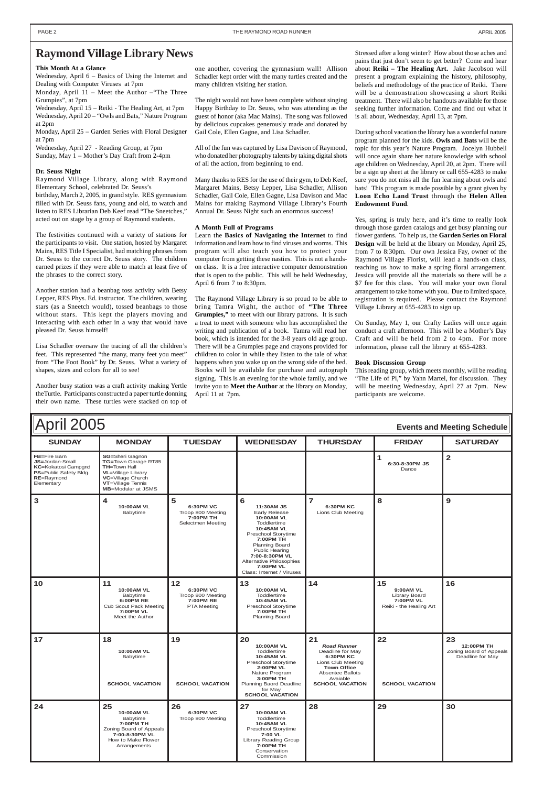| April 2005<br><b>Events and Meeting Schedule</b>                                                                    |                                                                                                                                                                            |                                                                           |                                                                                                                                                                                                                                                                         |                                                                                                                                                                               |                                                                                 |                                                                 |
|---------------------------------------------------------------------------------------------------------------------|----------------------------------------------------------------------------------------------------------------------------------------------------------------------------|---------------------------------------------------------------------------|-------------------------------------------------------------------------------------------------------------------------------------------------------------------------------------------------------------------------------------------------------------------------|-------------------------------------------------------------------------------------------------------------------------------------------------------------------------------|---------------------------------------------------------------------------------|-----------------------------------------------------------------|
| <b>SUNDAY</b>                                                                                                       | <b>MONDAY</b>                                                                                                                                                              | <b>TUESDAY</b>                                                            | <b>WEDNESDAY</b>                                                                                                                                                                                                                                                        | <b>THURSDAY</b>                                                                                                                                                               | <b>FRIDAY</b>                                                                   | <b>SATURDAY</b>                                                 |
| FB=Fire Barn<br>JS=Jordan-Small<br><b>KC=Kokatosi Campgnd</b><br>PS=Public Safety Bldg.<br>RE=Raymond<br>Elementary | <b>SG=Sheri Gagnon</b><br>TG=Town Garage RT85<br><b>TH=Town Hall</b><br><b>VL</b> =Village Library<br>VC=Village Church<br>VT=Village Tennis<br><b>MB</b> =Modular at JSMS |                                                                           |                                                                                                                                                                                                                                                                         |                                                                                                                                                                               | 1<br>6:30-8:30PM JS<br>Dance                                                    | $\overline{2}$                                                  |
| 3                                                                                                                   | $\overline{\mathbf{4}}$<br>10:00AM VL<br>Babytime                                                                                                                          | 5<br>6:30PM VC<br>Troop 800 Meeting<br>7:00PM TH<br>Selectmen Meeting     | 6<br>11:30AM JS<br><b>Early Release</b><br>10:00AM VL<br>Toddlertime<br>10:45AM VL<br>Preschool Storytime<br>7:00PM TH<br>Planning Board<br><b>Public Hearing</b><br>7:00-8:30PM VL<br><b>Alternative Philosophies</b><br><b>7:00PM VL</b><br>Class: Internet / Viruses | $\overline{7}$<br>6:30PM KC<br>Lions Club Meeting                                                                                                                             | 8                                                                               | 9                                                               |
| 10                                                                                                                  | 11<br>10:00AM VL<br>Babytime<br>6:00PM RE<br><b>Cub Scout Pack Meeting</b><br><b>7:00PM VL</b><br>Meet the Author                                                          | $12$<br>6:30PM VC<br>Troop 800 Meeting<br>7:00PM RE<br><b>PTA Meeting</b> | 13<br>10:00AM VL<br>Toddlertime<br>10:45AM VL<br>Preschool Storytime<br>7:00PM TH<br>Planning Board                                                                                                                                                                     | 14                                                                                                                                                                            | 15<br>9:00AM VL<br><b>Library Board</b><br>7:00PM VL<br>Reiki - the Healing Art | 16                                                              |
| 17                                                                                                                  | 18<br>10:00AM VL<br>Babytime<br><b>SCHOOL VACATION</b>                                                                                                                     | 19<br><b>SCHOOL VACATION</b>                                              | 20<br>10:00AM VL<br>Toddlertime<br>10:45AM VL<br>Preschool Storytime<br><b>2:00PM VL</b><br>Nature Program<br>3:00PM TH<br>Planning Baord Deadline<br>for May<br><b>SCHOOL VACATION</b>                                                                                 | 21<br><b>Road Runner</b><br>Deadline for May<br><b>6:30PM KC</b><br>Lions Club Meeting<br><b>Town Office</b><br><b>Absentee Ballots</b><br>Avaiable<br><b>SCHOOL VACATION</b> | 22<br><b>SCHOOL VACATION</b>                                                    | 23<br>12:00PM TH<br>Zoning Board of Appeals<br>Deadline for May |
| 24                                                                                                                  | 25<br>10:00AM VL<br>Babytime<br>7:00PM TH<br>Zoning Board of Appeals<br>7:00-8:30PM VL<br>How to Make Flower<br>Arrangements                                               | 26<br>6:30PM VC<br>Troop 800 Meeting                                      | 27<br>10:00AM VL<br>Toddlertime<br>10:45AM VL<br>Preschool Storytime<br>7:00 VL<br><b>Library Reading Group</b><br>7:00PM TH<br>Conservation<br>Commission                                                                                                              | 28                                                                                                                                                                            | 29                                                                              | 30                                                              |

#### **This Month At a Glance**

Wednesday, April 6 – Basics of Using the Internet and Dealing with Computer Viruses at 7pm

Monday, April 11 – Meet the Author –"The Three Grumpies", at 7pm

Wednesday, April 15 – Reiki - The Healing Art, at 7pm Wednesday, April 20 – "Owls and Bats," Nature Program at 2pm

Monday, April 25 – Garden Series with Floral Designer at 7pm

Wednesday, April 27 - Reading Group, at 7pm Sunday, May 1 – Mother's Day Craft from 2-4pm

#### **Dr. Seuss Night**

Raymond Village Library, along with Raymond Elementary School, celebrated Dr. Seuss's

birthday, March 2, 2005, in grand style. RES gymnasium filled with Dr. Seuss fans, young and old, to watch and listen to RES Librarian Deb Keef read "The Sneetches," acted out on stage by a group of Raymond students.

The festivities continued with a variety of stations for the participants to visit. One station, hosted by Margaret Mains, RES Title I Specialist, had matching phrases from Dr. Seuss to the correct Dr. Seuss story. The children earned prizes if they were able to match at least five of the phrases to the correct story.

Another station had a beanbag toss activity with Betsy Lepper, RES Phys. Ed. instructor. The children, wearing stars (as a Sneetch would), tossed beanbags to those without stars. This kept the players moving and interacting with each other in a way that would have pleased Dr. Seuss himself!

Lisa Schadler oversaw the tracing of all the children's feet. This represented "the many, many feet you meet" from "The Foot Book" by Dr. Seuss. What a variety of shapes, sizes and colors for all to see!

Another busy station was a craft activity making Yertle theTurtle. Participants constructed a paper turtle donning their own name. These turtles were stacked on top of

one another, covering the gymnasium wall! Allison Schadler kept order with the many turtles created and the many children visiting her station.

The night would not have been complete without singing Happy Birthday to Dr. Seuss, who was attending as the guest of honor (aka Mac Mains). The song was followed by delicious cupcakes generously made and donated by Gail Cole, Ellen Gagne, and Lisa Schadler.

All of the fun was captured by Lisa Davison of Raymond, who donated her photography talents by taking digital shots of all the action, from beginning to end.

Many thanks to RES for the use of their gym, to Deb Keef, Margaret Mains, Betsy Lepper, Lisa Schadler, Allison Schadler, Gail Cole, Ellen Gagne, Lisa Davison and Mac Mains for making Raymond Village Library's Fourth Annual Dr. Seuss Night such an enormous success!

#### **A Month Full of Programs**

Learn the **Basics of Navigating the Internet** to find information and learn how to find viruses and worms. This program will also teach you how to protect your computer from getting these nasties. This is not a handson class. It is a free interactive computer demonstration that is open to the public. This will be held Wednesday, April 6 from 7 to 8:30pm.

The Raymond Village Library is so proud to be able to bring Tamra Wight, the author of **"The Three Grumpies,"** to meet with our library patrons. It is such a treat to meet with someone who has accomplished the writing and publication of a book. Tamra will read her book, which is intended for the 3-8 years old age group. There will be a Grumpies page and crayons provided for children to color in while they listen to the tale of what happens when you wake up on the wrong side of the bed. Books will be available for purchase and autograph signing. This is an evening for the whole family, and we invite you to **Meet the Author** at the library on Monday, April 11 at 7pm.

Stressed after a long winter? How about those aches and pains that just don't seem to get better? Come and hear about **Reiki – The Healing Art.** Jake Jacobson will present a program explaining the history, philosophy, beliefs and methodology of the practice of Reiki. There will be a demonstration showcasing a short Reiki treatment. There will also be handouts available for those seeking further information. Come and find out what it is all about, Wednesday, April 13, at 7pm.

During school vacation the library has a wonderful nature program planned for the kids. **Owls and Bats** will be the topic for this year's Nature Program. Jocelyn Hubbell will once again share her nature knowledge with school age children on Wednesday, April 20, at 2pm. There will be a sign up sheet at the library or call 655-4283 to make sure you do not miss all the fun learning about owls and bats! This program is made possible by a grant given by **Loon Echo Land Trust** through the **Helen Allen Endowment Fund**.

Yes, spring is truly here, and it's time to really look through those garden catalogs and get busy planning our flower gardens. To help us, the **Garden Series on Floral Design** will be held at the library on Monday, April 25, from 7 to 8:30pm. Our own Jessica Fay, owner of the Raymond Village Florist, will lead a hands-on class, teaching us how to make a spring floral arrangement. Jessica will provide all the materials so there will be a \$7 fee for this class. You will make your own floral arrangement to take home with you. Due to limited space, registration is required. Please contact the Raymond Village Library at 655-4283 to sign up.

On Sunday, May 1, our Crafty Ladies will once again conduct a craft afternoon. This will be a Mother's Day Craft and will be held from 2 to 4pm. For more information, please call the library at 655-4283.

#### **Book Discussion Group**

This reading group, which meets monthly, will be reading "The Life of Pi," by Yahn Martel, for discussion. They will be meeting Wednesday, April 27 at 7pm. New participants are welcome.

#### **Raymond Village Library News**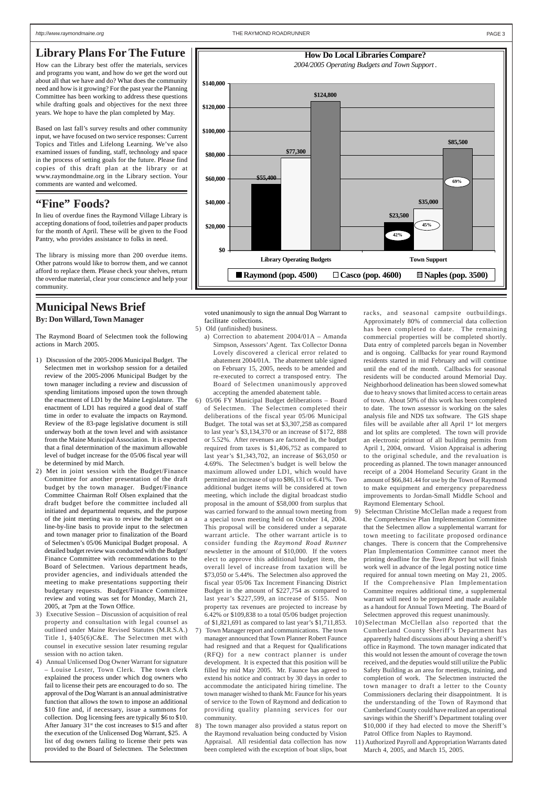#### **"Fine" Foods?**

In lieu of overdue fines the Raymond Village Library is accepting donations of food, toiletries and paper products for the month of April. These will be given to the Food Pantry, who provides assistance to folks in need.

The library is missing more than 200 overdue items. Other patrons would like to borrow them, and we cannot afford to replace them. Please check your shelves, return the overdue material, clear your conscience and help your community.

#### **Library Plans For The Future**

How can the Library best offer the materials, services and programs you want, and how do we get the word out about all that we have and do? What does the community need and how is it growing? For the past year the Planning Committee has been working to address these questions while drafting goals and objectives for the next three years. We hope to have the plan completed by May.

Based on last fall's survey results and other community input, we have focused on two service responses: Current Topics and Titles and Lifelong Learning. We've also examined issues of funding, staff, technology and space in the process of setting goals for the future. Please find copies of this draft plan at the library or at www.raymondmaine.org in the Library section. Your comments are wanted and welcomed.

# **Municipal News Brief**

**By: Don Willard, Town Manager**

The Raymond Board of Selectmen took the following actions in March 2005.

- 1) Discussion of the 2005-2006 Municipal Budget. The Selectmen met in workshop session for a detailed review of the 2005-2006 Municipal Budget by the town manager including a review and discussion of spending limitations imposed upon the town through the enactment of LD1 by the Maine Legislature. The enactment of LD1 has required a good deal of staff time in order to evaluate the impacts on Raymond. Review of the 83-page legislative document is still underway both at the town level and with assistance from the Maine Municipal Association. It is expected that a final determination of the maximum allowable level of budget increase for the 05/06 fiscal year will be determined by mid March.
- 2) Met in joint session with the Budget/Finance Committee for another presentation of the draft budget by the town manager. Budget/Finance Committee Chairman Rolf Olsen explained that the draft budget before the committee included all initiated and departmental requests, and the purpose of the joint meeting was to review the budget on a line-by-line basis to provide input to the selectmen and town manager prior to finalization of the Board of Selectmen's 05/06 Municipal Budget proposal. A detailed budget review was conducted with the Budget/ Finance Committee with recommendations to the Board of Selectmen. Various department heads, provider agencies, and individuals attended the meeting to make presentations supporting their budgetary requests. Budget/Finance Committee

- review and voting was set for Monday, March 21, 2005, at 7pm at the Town Office.
- 3) Executive Session Discussion of acquisition of real property and consultation with legal counsel as outlined under Maine Revised Statutes (M.R.S.A.) Title 1, §405(6)C&E. The Selectmen met with counsel in executive session later resuming regular session with no action taken.
- 4) Annual Unlicensed Dog Owner Warrant for signature – Louise Lester, Town Clerk. The town clerk explained the process under which dog owners who fail to license their pets are encouraged to do so. The approval of the Dog Warrant is an annual administrative function that allows the town to impose an additional \$10 fine and, if necessary, issue a summons for collection. Dog licensing fees are typically \$6 to \$10. After January  $31<sup>st</sup>$  the cost increases to \$15 and after the execution of the Unlicensed Dog Warrant, \$25. A list of dog owners failing to license their pets was provided to the Board of Selectmen. The Selectmen

voted unanimously to sign the annual Dog Warrant to facilitate collections.

- 5) Old (unfinished) business.
- a) Correction to abatement 2004/01A Amanda Simpson, Assessors' Agent. Tax Collector Donna Lovely discovered a clerical error related to abatement 2004/01A. The abatement table signed on February 15, 2005, needs to be amended and re-executed to correct a transposed entry. The Board of Selectmen unanimously approved accepting the amended abatement table.
- 6) 05/06 FY Municipal Budget deliberations Board of Selectmen. The Selectmen completed their deliberations of the fiscal year 05/06 Municipal Budget. The total was set at \$3,307,258 as compared to last year's \$3,134,370 or an increase of \$172, 888 or 5.52%. After revenues are factored in, the budget required from taxes is \$1,406,752 as compared to last year's \$1,343,702, an increase of \$63,050 or 4.69%. The Selectmen's budget is well below the maximum allowed under LD1, which would have permitted an increase of up to \$86,131 or 6.41%. Two additional budget items will be considered at town meeting, which include the digital broadcast studio proposal in the amount of \$58,000 from surplus that was carried forward to the annual town meeting from a special town meeting held on October 14, 2004. This proposal will be considered under a separate warrant article. The other warrant article is to consider funding the *Raymond Road Runner* newsletter in the amount of \$10,000. If the voters elect to approve this additional budget item, the overall level of increase from taxation will be \$73,050 or 5.44%. The Selectmen also approved the fiscal year 05/06 Tax Increment Financing District Budget in the amount of \$227,754 as compared to

last year's \$227,599, an increase of \$155.Non property tax revenues are projected to increase by 6.42% or \$109,838 to a total 05/06 budget projection of \$1,821,691 as compared to last year's \$1,711,853. 7) Town Manager report and communications. The town manager announced that Town Planner Robert Faunce had resigned and that a Request for Qualifications (RFQ) for a new contract planner is under development. It is expected that this position will be filled by mid May 2005. Mr. Faunce has agreed to extend his notice and contract by 30 days in order to accommodate the anticipated hiring timeline. The town manager wished to thank Mr. Faunce for his years of service to the Town of Raymond and dedication to providing quality planning services for our community.

8) The town manager also provided a status report on the Raymond revaluation being conducted by Vision Appraisal. All residential data collection has now been completed with the exception of boat slips, boat racks, and seasonal campsite outbuildings. Approximately 80% of commercial data collection has been completed to date. The remaining commercial properties will be completed shortly. Data entry of completed parcels began in November and is ongoing. Callbacks for year round Raymond residents started in mid February and will continue until the end of the month. Callbacks for seasonal residents will be conducted around Memorial Day. Neighborhood delineation has been slowed somewhat due to heavy snows that limited access to certain areas of town. About 50% of this work has been completed to date. The town assessor is working on the sales analysis file and NDS tax software. The GIS shape files will be available after all April  $1<sup>st</sup>$  lot mergers and lot splits are completed. The town will provide an electronic printout of all building permits from April 1, 2004, onward. Vision Appraisal is adhering to the original schedule, and the revaluation is proceeding as planned. The town manager announced receipt of a 2004 Homeland Security Grant in the amount of \$66,841.44 for use by the Town of Raymond to make equipment and emergency preparedness improvements to Jordan-Small Middle School and Raymond Elementary School.

9) Selectman Christine McClellan made a request from the Comprehensive Plan Implementation Committee that the Selectmen allow a supplemental warrant for town meeting to facilitate proposed ordinance changes. There is concern that the Comprehensive Plan Implementation Committee cannot meet the printing deadline for the *Town Report* but will finish work well in advance of the legal posting notice time required for annual town meeting on May 21, 2005. If the Comprehensive Plan Implementation Committee requires additional time, a supplemental

warrant will need to be prepared and made available as a handout for Annual Town Meeting. The Board of Selectmen approved this request unanimously.

10)Selectman McClellan also reported that the Cumberland County Sheriff's Department has apparently halted discussions about having a sheriff's office in Raymond. The town manager indicated that this would not lessen the amount of coverage the town received, and the deputies would still utilize the Public Safety Building as an area for meetings, training, and completion of work. The Selectmen instructed the town manager to draft a letter to the County Commissioners declaring their disappointment. It is the understanding of the Town of Raymond that Cumberland County could have realized an operational savings within the Sheriff's Department totaling over \$10,000 if they had elected to move the Sheriff's Patrol Office from Naples to Raymond.

11) Authorized Payroll and Appropriation Warrants dated March 4, 2005, and March 15, 2005.

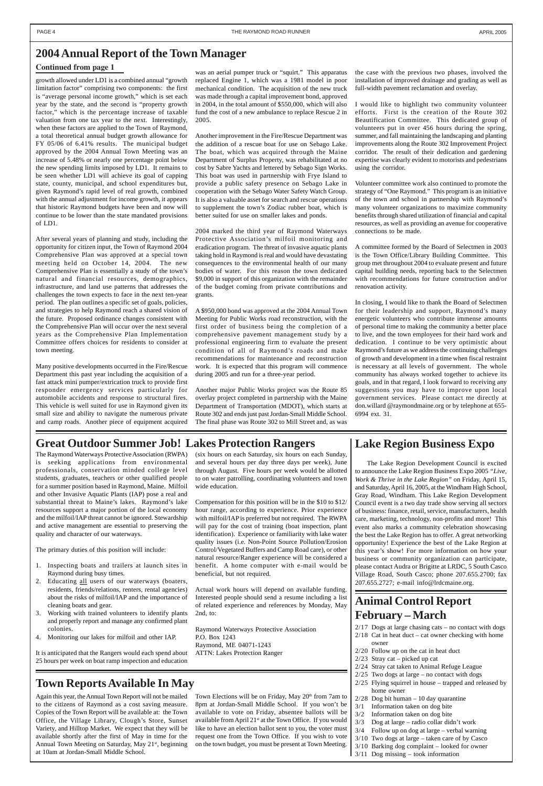growth allowed under LD1 is a combined annual "growth limitation factor" comprising two components: the first is "average personal income growth," which is set each year by the state, and the second is "property growth factor," which is the percentage increase of taxable valuation from one tax year to the next. Interestingly, when these factors are applied to the Town of Raymond, a total theoretical annual budget growth allowance for FY 05/06 of 6.41% results. The municipal budget approved by the 2004 Annual Town Meeting was an increase of 5.48% or nearly one percentage point below the new spending limits imposed by LD1. It remains to be seen whether LD1 will achieve its goal of capping state, county, municipal, and school expenditures but, given Raymond's rapid level of real growth, combined with the annual adjustment for income growth, it appears that historic Raymond budgets have been and now will continue to be lower than the state mandated provisions of LD1.

After several years of planning and study, including the opportunity for citizen input, the Town of Raymond 2004 Comprehensive Plan was approved at a special town meeting held on October 14, 2004. The new Comprehensive Plan is essentially a study of the town's natural and financial resources, demographics, infrastructure, and land use patterns that addresses the challenges the town expects to face in the next ten-year period. The plan outlines a specific set of goals, policies, and strategies to help Raymond reach a shared vision of the future. Proposed ordinance changes consistent with the Comprehensive Plan will occur over the next several years as the Comprehensive Plan Implementation Committee offers choices for residents to consider at town meeting.

Many positive developments occurred in the Fire/Rescue Department this past year including the acquisition of a fast attack mini pumper/extrication truck to provide first responder emergency services particularly for automobile accidents and response to structural fires. This vehicle is well suited for use in Raymond given its small size and ability to navigate the numerous private and camp roads. Another piece of equipment acquired

was an aerial pumper truck or "squirt." This apparatus replaced Engine 1, which was a 1981 model in poor mechanical condition. The acquisition of the new truck was made through a capital improvement bond, approved in 2004, in the total amount of \$550,000, which will also fund the cost of a new ambulance to replace Rescue 2 in 2005.

Another improvement in the Fire/Rescue Department was the addition of a rescue boat for use on Sebago Lake. The boat, which was acquired through the Maine Department of Surplus Property, was rehabilitated at no cost by Sabre Yachts and lettered by Sebago Sign Works. This boat was used in partnership with Frye Island to provide a public safety presence on Sebago Lake in cooperation with the Sebago Water Safety Watch Group. It is also a valuable asset for search and rescue operations to supplement the town's Zodiac rubber boat, which is better suited for use on smaller lakes and ponds.

2004 marked the third year of Raymond Waterways Protective Association's milfoil monitoring and eradication program. The threat of invasive aquatic plants taking hold in Raymond is real and would have devastating consequences to the environmental health of our many bodies of water. For this reason the town dedicated \$9,000 in support of this organization with the remainder of the budget coming from private contributions and grants.

A \$950,000 bond was approved at the 2004 Annual Town Meeting for Public Works road reconstruction, with the first order of business being the completion of a comprehensive pavement management study by a professional engineering firm to evaluate the present condition of all of Raymond's roads and make recommendations for maintenance and reconstruction work. It is expected that this program will commence during 2005 and run for a three-year period.

Another major Public Works project was the Route 85 overlay project completed in partnership with the Maine Department of Transportation (MDOT), which starts at Route 302 and ends just past Jordan-Small Middle School. The final phase was Route 302 to Mill Street and, as was

the case with the previous two phases, involved the installation of improved drainage and grading as well as full-width pavement reclamation and overlay.

I would like to highlight two community volunteer efforts. First is the creation of the Route 302 Beautification Committee. This dedicated group of volunteers put in over 456 hours during the spring, summer, and fall maintaining the landscaping and planting improvements along the Route 302 Improvement Project corridor. The result of their dedication and gardening expertise was clearly evident to motorists and pedestrians using the corridor.

Volunteer committee work also continued to promote the strategy of "One Raymond." This program is an initiative of the town and school in partnership with Raymond's many volunteer organizations to maximize community benefits through shared utilization of financial and capital resources, as well as providing an avenue for cooperative connections to be made.

A committee formed by the Board of Selectmen in 2003 is the Town Office/Library Building Committee. This group met throughout 2004 to evaluate present and future capital building needs, reporting back to the Selectmen with recommendations for future construction and/or renovation activity.

Town Elections will be on Friday, May 20<sup>th</sup> from 7am to 8pm at Jordan-Small Middle School. If you won't be available to vote on Friday, absentee ballots will be available from April 21<sup>st</sup> at the Town Office. If you would like to have an election ballot sent to you, the voter must request one from the Town Office. If you wish to vote on the town budget, you must be present at Town Meeting.

In closing, I would like to thank the Board of Selectmen for their leadership and support, Raymond's many energetic volunteers who contribute immense amounts of personal time to making the community a better place to live, and the town employees for their hard work and dedication. I continue to be very optimistic about Raymond's future as we address the continuing challenges of growth and development in a time when fiscal restraint is necessary at all levels of government. The whole community has always worked together to achieve its goals, and in that regard, I look forward to receiving any suggestions you may have to improve upon local government services. Please contact me directly at don.willard @raymondmaine.org or by telephone at 655- 6994 ext. 31.

#### **Lake Region Business Expo**

The Lake Region Development Council is excited to announce the Lake Region Business Expo 2005 *"Live, Work & Thrive in the Lake Region"* on Friday, April 15, and Saturday, April 16, 2005, at the Windham High School, Gray Road, Windham. This Lake Region Development Council event is a two day trade show serving all sectors of business: finance, retail, service, manufacturers, health care, marketing, technology, non-profits and more! This event also marks a community celebration showcasing the best the Lake Region has to offer. A great networking opportunity! Experience the best of the Lake Region at this year's show! For more information on how your business or community organization can participate, please contact Audra or Brigitte at LRDC, 5 South Casco Village Road, South Casco; phone 207.655.2700; fax 207.655.2727; e-mail info@lrdcmaine.org.

#### **Animal Control Report February – March**

2/17 Dogs at large chasing cats – no contact with dogs  $2/18$  Cat in heat duct – cat owner checking with home owner

2/20 Follow up on the cat in heat duct

2/23 Stray cat – picked up cat

- 2/24 Stray cat taken to Animal Refuge League
- 2/25 Two dogs at large no contact with dogs
- 2/25 Flying squirrel in house trapped and released by home owner
- 2/28 Dog bit human 10 day quarantine
- 3/1 Information taken on dog bite
- 3/2 Information taken on dog bite
- 3/3 Dog at large radio collar didn't work
- 3/4 Follow up on dog at large verbal warning
- 3/10 Two dogs at large taken care of by Casco
- 3/10 Barking dog complaint looked for owner
- 3/11 Dog missing took information

The Raymond Waterways Protective Association (RWPA) is seeking applications from environmental professionals, conservation minded college level students, graduates, teachers or other qualified people for a summer position based in Raymond, Maine. Milfoil and other Invasive Aquatic Plants (IAP) pose a real and substantial threat to Maine's lakes. Raymond's lake resources support a major portion of the local economy and the milfoil/IAP threat cannot be ignored. Stewardship and active management are essential to preserving the quality and character of our waterways.

The primary duties of this position will include:

4. Monitoring our lakes for milfoil and other IAP.

It is anticipated that the Rangers would each spend about 25 hours per week on boat ramp inspection and education

(six hours on each Saturday, six hours on each Sunday, and several hours per day three days per week), June through August. Five hours per week would be allotted to on water patrolling, coordinating volunteers and town wide education.

- 1. Inspecting boats and trailers at launch sites in Raymond during busy times.
- 2. Educating all users of our waterways (boaters, residents, friends/relations, renters, rental agencies) about the risks of milfoil/IAP and the importance of cleaning boats and gear. 3. Working with trained volunteers to identify plants and properly report and manage any confirmed plant colonies. of related experience and references by Monday, May 2nd, to: Raymond Waterways Protective Association

Compensation for this position will be in the \$10 to \$12/ hour range, according to experience. Prior experience with milfoil/IAP is preferred but not required. The RWPA will pay for the cost of training (boat inspection, plant identification). Experience or familiarity with lake water quality issues (i.e. Non-Point Source Pollution/Erosion Control/Vegetated Buffers and Camp Road care), or other natural resource/Ranger experience will be considered a benefit. A home computer with e-mail would be beneficial, but not required.

Actual work hours will depend on available funding. Interested people should send a resume including a list

P.O. Box 1243

Raymond, ME 04071-1243 ATTN: Lakes Protection Ranger

Again this year, the Annual Town Report will not be mailed to the citizens of Raymond as a cost saving measure. Copies of the Town Report will be available at: the Town Office, the Village Library, Clough's Store, Sunset Variety, and Hilltop Market. We expect that they will be available shortly after the first of May in time for the Annual Town Meeting on Saturday, May 21<sup>st</sup>, beginning at 10am at Jordan-Small Middle School.

#### **2004 Annual Report of the Town Manager**

#### **Continued from page 1**

### **Great Outdoor Summer Job! Lakes Protection Rangers**

### **Town Reports Available In May**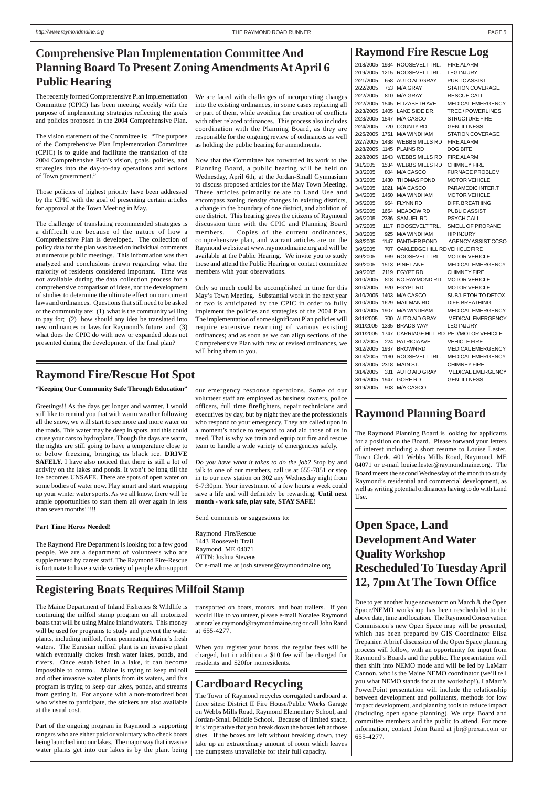**Open Space, Land Development And Water Quality Workshop Rescheduled To Tuesday April 12, 7pm At The Town Office**

Due to yet another huge snowstorm on March 8, the Open Space/NEMO workshop has been rescheduled to the above date, time and location. The Raymond Conservation Commission's new Open Space map will be presented, which has been prepared by GIS Coordinator Elisa Trepanier. A brief discussion of the Open Space planning process will follow, with an opportunity for input from Raymond's Boards and the public. The presentation will then shift into NEMO mode and will be led by LaMarr Cannon, who is the Maine NEMO coordinator (we'll tell you what NEMO stands for at the workshop!). LaMarr's PowerPoint presentation will include the relationship between development and pollutants, methods for low impact development, and planning tools to reduce impact (including open space planning). We urge Board and committee members and the public to attend. For more information, contact John Rand at jbr@prexar.com or 655-4277.

#### **Raymond Planning Board**

The Raymond Planning Board is looking for applicants for a position on the Board. Please forward your letters of interest including a short resume to Louise Lester, Town Clerk, 401 Webbs Mills Road, Raymond, ME 04071 or e-mail louise.lester@raymondmaine.org. The Board meets the second Wednesday of the month to study Raymond's residential and commercial development, as well as writing potential ordinances having to do with Land Use.

The recently formed Comprehensive Plan Implementation Committee (CPIC) has been meeting weekly with the purpose of implementing strategies reflecting the goals and policies proposed in the 2004 Comprehensive Plan.

The vision statement of the Committee is: "The purpose of the Comprehensive Plan Implementation Committee (CPIC) is to guide and facilitate the translation of the 2004 Comprehensive Plan's vision, goals, policies, and strategies into the day-to-day operations and actions of Town government."

Those policies of highest priority have been addressed by the CPIC with the goal of presenting certain articles for approval at the Town Meeting in May.

The challenge of translating recommended strategies is a difficult one because of the nature of how a Comprehensive Plan is developed. The collection of policy data for the plan was based on individual comments at numerous public meetings. This information was then analyzed and conclusions drawn regarding what the majority of residents considered important. Time was not available during the data collection process for a comprehensive comparison of ideas, nor the development of studies to determine the ultimate effect on our current laws and ordinances. Questions that still need to be asked of the community are: (1) what is the community willing to pay for; (2) how should any idea be translated into new ordinances or laws for Raymond's future, and (3) what does the CPIC do with new or expanded ideas not presented during the development of the final plan?

We are faced with challenges of incorporating changes into the existing ordinances, in some cases replacing all or part of them, while avoiding the creation of conflicts with other related ordinances. This process also includes coordination with the Planning Board, as they are responsible for the ongoing review of ordinances as well as holding the public hearing for amendments.

Now that the Committee has forwarded its work to the Planning Board, a public hearing will be held on Wednesday, April 6th, at the Jordan-Small Gymnasium to discuss proposed articles for the May Town Meeting. These articles primarily relate to Land Use and encompass zoning density changes in existing districts, a change in the boundary of one district, and abolition of one district. This hearing gives the citizens of Raymond discussion time with the CPIC and Planning Board members. Copies of the current ordinances, comprehensive plan, and warrant articles are on the Raymond website at www.raymondmaine.org and will be available at the Public Hearing. We invite you to study these and attend the Public Hearing or contact committee members with your observations.

Only so much could be accomplished in time for this May's Town Meeting. Substantial work in the next year or two is anticipated by the CPIC in order to fully implement the policies and strategies of the 2004 Plan. The implementation of some significant Plan policies will require extensive rewriting of various existing ordinances; and as soon as we can align sections of the Comprehensive Plan with new or revised ordinances, we will bring them to you.

## **Comprehensive Plan Implementation Committee And [Raymond Fire Rescue Log Planning Board To Present Zoning Amendments At April 6 Public Hearing**

| 2/18/2005 | 1934 | ROOSEVELT TRL.               | <b>FIRE ALARM</b>                  |
|-----------|------|------------------------------|------------------------------------|
| 2/19/2005 | 1215 | ROOSEVELT TRL.               | <b>LEG INJURY</b>                  |
| 2/21/2005 | 658  | AUTO AID GRAY                | <b>PUBLIC ASSIST</b>               |
| 2/22/2005 | 753  | M/A GRAY                     | STATION COVERAGE                   |
| 2/22/2005 | 810  | M/A GRAY                     | <b>RESCUE CALL</b>                 |
| 2/22/2005 | 1545 | ELIZABETH AVE                | <b>MEDICAL EMERGENCY</b>           |
| 2/23/2005 | 1405 | LAKE SIDE DR.                | TREE / POWERLINES                  |
| 2/23/2005 | 1547 | M/A CASCO                    | STRUCTURE FIRE                     |
| 2/24/2005 | 720  | <b>COUNTY RD</b>             | GEN. ILLNESS                       |
| 2/25/2005 | 1751 | M/A WINDHAM                  | <b>STATION COVERAGE</b>            |
| 2/27/2005 | 1438 | <b>WEBBS MILLS RD</b>        | <b>FIRE ALARM</b>                  |
| 2/28/2005 | 1145 | <b>PLAINS RD</b>             | DOG BITE                           |
| 2/28/2005 | 1943 | WEBBS MILLS RD               | <b>FIRE ALARM</b>                  |
| 3/1/2005  | 1534 | WEBBS MILLS RD               | <b>CHIMNEY FIRE</b>                |
| 3/3/2005  | 804  | M/A CASCO                    | <b>FURNACE PROBLEM</b>             |
| 3/3/2005  | 1430 | <b>THOMAS POND</b>           | <b>MOTOR VEHICLE</b>               |
| 3/4/2005  | 1021 | M/A CASCO                    | PARAMEDIC INTER.T                  |
| 3/4/2005  | 1450 | M/A WINDHAM                  | <b>MOTOR VEHICLE</b>               |
| 3/5/2005  | 954  | <b>FLYNN RD</b>              | DIFF. BREATHING                    |
| 3/5/2005  | 1654 | <b>MEADOW RD</b>             | PUBLIC ASSIST                      |
| 3/6/2005  | 2336 | <b>SAMUEL RD</b>             | PSYCH CALL                         |
| 3/7/2005  | 1117 | ROOSEVELT TRL.               | <b>SMELL OF PROPANE</b>            |
| 3/8/2005  | 925  | <b>M/A WINDHAM</b>           | HIP INJURY                         |
| 3/8/2005  | 1147 | <b>PANTHER POND</b>          | AGENCY ASSIST CCSO                 |
| 3/9/2005  | 707  | OAKLEDGE HILL RDVEHICLE FIRE |                                    |
| 3/9/2005  | 939  | ROOSEVELT TRL.               | MOTOR VEHICLE                      |
| 3/9/2005  | 1513 | <b>PINE LANE</b>             | <b>MEDICAL EMERGENCY</b>           |
| 3/9/2005  | 2119 | EGYPT RD                     | <b>CHIMNEY FIRE</b>                |
| 3/10/2005 | 818  | NO.RAYMOND RD                | <b>MOTOR VEHICLE</b>               |
| 3/10/2005 | 920  | <b>EGYPT RD</b>              | <b>MOTOR VEHICLE</b>               |
| 3/10/2005 | 1403 | M/A CASCO                    | SUBJ. ETOH TO DETOX                |
| 3/10/2005 | 1629 | <b>MAILMAN RD</b>            | DIFF. BREATHING                    |
| 3/10/2005 | 1907 | M/A WINDHAM                  | <b>MEDICAL EMERGENCY</b>           |
| 3/11/2005 | 700  | <b>AUTO AID GRAY</b>         | <b>MEDICAL EMERGENCY</b>           |
| 3/11/2005 | 1335 | <b>BRADS WAY</b>             | LEG INJURY                         |
| 3/11/2005 | 1747 |                              | CARRIAGE HILL RD PED/MOTOR VEHICLE |
| 3/12/2005 | 224  | <b>PATRICIAAVE</b>           | <b>VEHICLE FIRE</b>                |
| 3/12/2005 | 1937 | <b>BROWN RD</b>              | <b>MEDICAL EMERGENCY</b>           |
| 3/13/2005 | 1130 | ROOSEVELT TRL.               | <b>MEDICAL EMERGENCY</b>           |
| 3/13/2005 | 2318 | MAIN ST.                     | <b>CHIMNEY FIRE</b>                |
| 3/14/2005 | 331  | <b>AUTO AID GRAY</b>         | <b>MEDICAL EMERGENCY</b>           |
| 3/16/2005 | 1947 | <b>GORE RD</b>               | GEN. ILLNESS                       |
|           |      |                              |                                    |

Greetings!! As the days get longer and warmer, I would still like to remind you that with warm weather following all the snow, we will start to see more and more water on the roads. This water may be deep in spots, and this could cause your cars to hydroplane. Though the days are warm, the nights are still going to have a temperature close to or below freezing, bringing us black ice. **DRIVE SAFELY.** I have also noticed that there is still a lot of activity on the lakes and ponds. It won't be long till the ice becomes UNSAFE. There are spots of open water on some bodies of water now. Play smart and start wrapping up your winter water sports. As we all know, there will be ample opportunities to start them all over again in less than seven months!!!!!

#### **Part Time Heros Needed!**

The Raymond Fire Department is looking for a few good people. We are a department of volunteers who are supplemented by career staff. The Raymond Fire-Rescue is fortunate to have a wide variety of people who support our emergency response operations. Some of our volunteer staff are employed as business owners, police officers, full time firefighters, repair technicians and executives by day, but by night they are the professionals who respond to your emergency. They are called upon in a moment's notice to respond to and aid those of us in need. That is why we train and equip our fire and rescue team to handle a wide variety of emergencies safely.

*Do you have what it takes to do the job?* Stop by and talk to one of our members, call us at 655-7851 or stop in to our new station on 302 any Wednesday night from 6-7:30pm. Your investment of a few hours a week could save a life and will definitely be rewarding. **Until next month - work safe, play safe, STAY SAFE!**

Send comments or suggestions to:

Raymond Fire/Rescue 1443 Roosevelt Trail Raymond, ME 04071 ATTN: Joshua Stevens Or e-mail me at josh.stevens@raymondmaine.org

The Maine Department of Inland Fisheries & Wildlife is continuing the milfoil stamp program on all motorized boats that will be using Maine inland waters. This money will be used for programs to study and prevent the water plants, including milfoil, from permeating Maine's fresh waters. The Eurasian milfoil plant is an invasive plant which eventually chokes fresh water lakes, ponds, and rivers. Once established in a lake, it can become impossible to control. Maine is trying to keep milfoil and other invasive water plants from its waters, and this program is trying to keep our lakes, ponds, and streams from getting it. For anyone with a non-motorized boat who wishes to participate, the stickers are also available at the usual cost.

Part of the ongoing program in Raymond is supporting rangers who are either paid or voluntary who check boats being launched into our lakes. The major way that invasive water plants get into our lakes is by the plant being transported on boats, motors, and boat trailers. If you would like to volunteer, please e-mail Noralee Raymond at noralee.raymond@raymondmaine.org or call John Rand at 655-4277.

When you register your boats, the regular fees will be charged, but in addition a \$10 fee will be charged for residents and \$20for nonresidents.

### **Raymond Fire/Rescue Hot Spot**

"Keeping Our Community Safe Through Education" our emergency response operations. Some of our 3/19/2005 903 M/A CASCO

#### **Registering Boats Requires Milfoil Stamp**

### **Cardboard Recycling**

The Town of Raymond recycles corrugated cardboard at three sites: District II Fire House/Public Works Garage on Webbs Mills Road, Raymond Elementary School, and Jordan-Small Middle School. Because of limited space, it is imperative that you break down the boxes left at those sites. If the boxes are left without breaking down, they take up an extraordinary amount of room which leaves the dumpsters unavailable for their full capacity.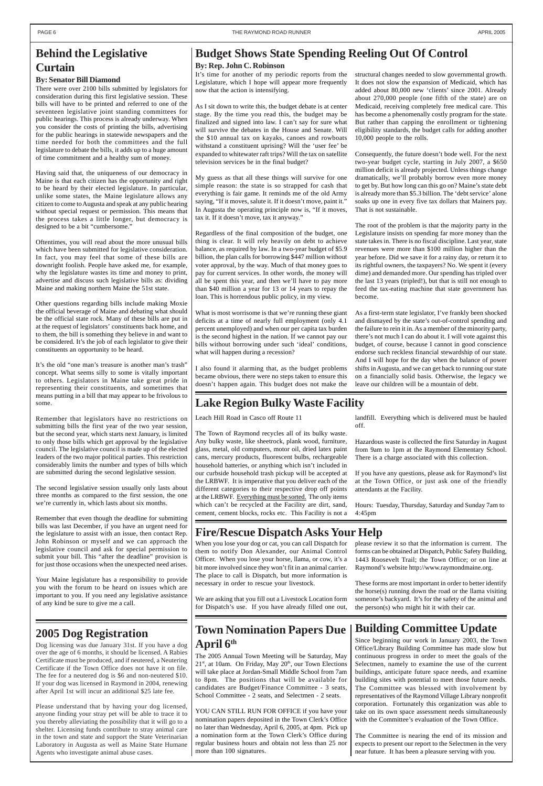#### **By: Senator Bill Diamond**

There were over 2100 bills submitted by legislators for consideration during this first legislative session. These bills will have to be printed and referred to one of the seventeen legislative joint standing committees for public hearings. This process is already underway. When you consider the costs of printing the bills, advertising for the public hearings in statewide newspapers and the time needed for both the committees and the full legislature to debate the bills, it adds up to a huge amount of time commitment and a healthy sum of money.

Having said that, the uniqueness of our democracy in Maine is that each citizen has the opportunity and right to be heard by their elected legislature. In particular, unlike some states, the Maine legislature allows any citizen to come to Augusta and speak at any public hearing without special request or permission. This means that the process takes a little longer, but democracy is designed to be a bit "cumbersome."

Oftentimes, you will read about the more unusual bills which have been submitted for legislative consideration. In fact, you may feel that some of these bills are downright foolish. People have asked me, for example, why the legislature wastes its time and money to print, advertise and discuss such legislative bills as: dividing Maine and making northern Maine the 51st state.

Other questions regarding bills include making Moxie the official beverage of Maine and debating what should be the official state rock. Many of these bills are put in at the request of legislators' constituents back home, and to them, the bill is something they believe in and want to be considered. It's the job of each legislator to give their constituents an opportunity to be heard.

It's the old "one man's treasure is another man's trash" concept. What seems silly to some is vitally important to others. Legislators in Maine take great pride in representing their constituents, and sometimes that means putting in a bill that may appear to be frivolous to some.

Remember that legislators have no restrictions on submitting bills the first year of the two year session, but the second year, which starts next January, is limited to only those bills which get approval by the legislative council. The legislative council is made up of the elected leaders of the two major political parties. This restriction considerably limits the number and types of bills which are submitted during the second legislative session.

The second legislative session usually only lasts about three months as compared to the first session, the one we're currently in, which lasts about six months.

Remember that even though the deadline for submitting bills was last December, if you have an urgent need for the legislature to assist with an issue, then contact Rep. John Robinson or myself and we can approach the legislative council and ask for special permission to submit your bill. This "after the deadline" provision is for just those occasions when the unexpected need arises.

Your Maine legislature has a responsibility to provide you with the forum to be heard on issues which are important to you. If you need any legislative assistance of any kind be sure to give me a call.

#### **By: Rep. John C. Robinson**

It's time for another of my periodic reports from the Legislature, which I hope will appear more frequently now that the action is intensifying.

As I sit down to write this, the budget debate is at center stage. By the time you read this, the budget may be finalized and signed into law. I can't say for sure what will survive the debates in the House and Senate. Will the \$10 annual tax on kayaks, canoes and rowboats withstand a constituent uprising? Will the 'user fee' be expanded to whitewater raft trips? Will the tax on satellite television services be in the final budget?

My guess as that all these things will survive for one simple reason: the state is so strapped for cash that everything is fair game. It reminds me of the old Army saying, "If it moves, salute it. If it doesn't move, paint it." In Augusta the operating principle now is, "If it moves, tax it. If it doesn't move, tax it anyway."

Regardless of the final composition of the budget, one thing is clear. It will rely heavily on debt to achieve balance, as required by law. In a two-year budget of \$5.9 billion, the plan calls for borrowing \$447 million without voter approval, by the way. Much of that money goes to pay for current services. In other words, the money will all be spent this year, and then we'll have to pay more than \$40 million a year for 13 or 14 years to repay the loan. This is horrendous public policy, in my view.

What is most worrisome is that we're running these giant deficits at a time of nearly full employment (only 4.1 percent unemployed) and when our per capita tax burden is the second highest in the nation. If we cannot pay our bills without borrowing under such 'ideal' conditions, what will happen during a recession?

I also found it alarming that, as the budget problems became obvious, there were no steps taken to ensure this doesn't happen again. This budget does not make the structural changes needed to slow governmental growth. It does not slow the expansion of Medicaid, which has added about 80,000 new 'clients' since 2001. Already about 270,000 people (one fifth of the state) are on Medicaid, receiving completely free medical care. This has become a phenomenally costly program for the state. But rather than capping the enrollment or tightening eligibility standards, the budget calls for adding another 10,000 people to the rolls.

Consequently, the future doesn't bode well. For the next two-year budget cycle, starting in July 2007, a \$650 million deficit is already projected. Unless things change dramatically, we'll probably borrow even more money to get by. But how long can this go on? Maine's state debt is already more than \$5.3 billion. The 'debt service' alone soaks up one in every five tax dollars that Mainers pay. That is not sustainable.

The root of the problem is that the majority party in the Legislature insists on spending far more money than the state takes in. There is no fiscal discipline. Last year, state revenues were more than \$100 million higher than the year before. Did we save it for a rainy day, or return it to its rightful owners, the taxpayers? No. We spent it (every dime) and demanded more. Our spending has tripled over the last 13 years (tripled!), but that is still not enough to feed the tax-eating machine that state government has become.

As a first-term state legislator, I've frankly been shocked and dismayed by the state's out-of-control spending and the failure to rein it in. As a member of the minority party, there's not much I can do about it. I will vote against this budget, of course, because I cannot in good conscience endorse such reckless financial stewardship of our state. And I will hope for the day when the balance of power shifts in Augusta, and we can get back to running our state on a financially solid basis. Otherwise, the legacy we leave our children will be a mountain of debt.

### **Building Committee Update**

Since beginning our work in January 2003, the Town Office/Library Building Committee has made slow but continuous progress in order to meet the goals of the Selectmen, namely to examine the use of the current buildings, anticipate future space needs, and examine building sites with potential to meet those future needs. The Committee was blessed with involvement by representatives of the Raymond Village Library nonprofit corporation. Fortunately this organization was able to take on its own space assessment needs simultaneously with the Committee's evaluation of the Town Office.

The Committee is nearing the end of its mission and expects to present our report to the Selectmen in the very near future. It has been a pleasure serving with you.

Leach Hill Road in Casco off Route 11

The Town of Raymond recycles all of its bulky waste. Any bulky waste, like sheetrock, plank wood, furniture, glass, metal, old computers, motor oil, dried latex paint cans, mercury products, fluorescent bulbs, rechargeable household batteries, or anything which isn't included in our curbside household trash pickup will be accepted at the LRBWF. It is imperative that you deliver each of the different categories to their respective drop off points at the LRBWF. Everything must be sorted. The only items which can't be recycled at the Facility are dirt, sand, cement, cement blocks, rocks etc. This Facility is not a

### **2005 Dog Registration**

Dog licensing was due January 31st. If you have a dog over the age of 6 months, it should be licensed. A Rabies Certificate must be produced, and if neutered, a Neutering Certificate if the Town Office does not have it on file. The fee for a neutered dog is \$6 and non-neutered \$10. If your dog was licensed in Raymond in 2004, renewing after April 1st will incur an additional \$25 late fee.

Please understand that by having your dog licensed, anyone finding your stray pet will be able to trace it to you thereby alleviating the possibility that it will go to a shelter. Licensing funds contribute to stray animal care in the town and state and support the State Veterinarian Laboratory in Augusta as well as Maine State Humane Agents who investigate animal abuse cases.

When you lose your dog or cat, you can call Dispatch for them to notify Don Alexander, our Animal Control Officer. When you lose your horse, llama, or cow, it's a bit more involved since they won't fit in an animal carrier. The place to call is Dispatch, but more information is necessary in order to rescue your livestock.

We are asking that you fill out a Livestock Location form for Dispatch's use. If you have already filled one out,

### **Town Nomination Papers Due April 6th**

The 2005 Annual Town Meeting will be Saturday, May  $21<sup>st</sup>$ , at 10am. On Friday, May  $20<sup>th</sup>$ , our Town Elections will take place at Jordan-Small Middle School from 7am to 8pm. The positions that will be available for candidates are Budget/Finance Committee - 3 seats, School Committee - 2 seats, and Selectmen - 2 seats.

YOU CAN STILL RUN FOR OFFICE if you have your nomination papers deposited in the Town Clerk's Office no later than Wednesday, April 6, 2005, at 4pm. Pick up a nomination form at the Town Clerk's Office during regular business hours and obtain not less than 25 nor more than 100 signatures.

## **Behind the Legislative Curtain**

#### **Budget Shows State Spending Reeling Out Of Control**

#### **Lake Region Bulky Waste Facility**

landfill. Everything which is delivered must be hauled off.

Hazardous waste is collected the first Saturday in August from 9am to 1pm at the Raymond Elementary School. There is a charge associated with this collection.

If you have any questions, please ask for Raymond's list at the Town Office, or just ask one of the friendly attendants at the Facility.

Hours: Tuesday, Thursday, Saturday and Sunday 7am to 4:45pm

### **Fire/Rescue Dispatch Asks Your Help**

please review it so that the information is current. The forms can be obtained at Dispatch, Public Safety Building, 1443 Roosevelt Trail; the Town Office; or on line at Raymond's website http://www.raymondmaine.org.

These forms are most important in order to better identify the horse(s) running down the road or the llama visiting

someone's backyard. It's for the safety of the animal and the person(s) who might hit it with their car.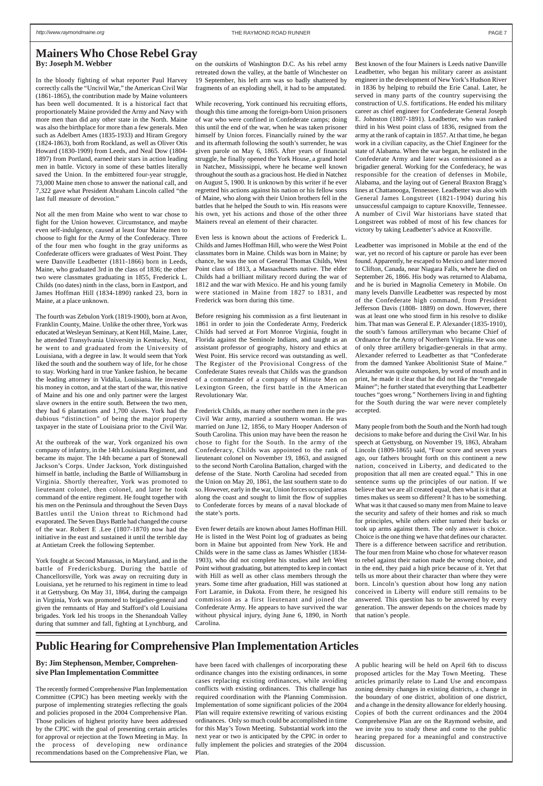#### **By: Jim Stephenson, Member, Comprehensive Plan Implementation Committee**

The recently formed Comprehensive Plan Implementation Committee (CPIC) has been meeting weekly with the purpose of implementing strategies reflecting the goals and policies proposed in the 2004 Comprehensive Plan. Those policies of highest priority have been addressed by the CPIC with the goal of presenting certain articles for approval or rejection at the Town Meeting in May. In the process of developing new ordinance recommendations based on the Comprehensive Plan, we

have been faced with challenges of incorporating these ordinance changes into the existing ordinances, in some cases replacing existing ordinances, while avoiding conflicts with existing ordinances. This challenge has required coordination with the Planning Commission. Implementation of some significant policies of the 2004 Plan will require extensive rewriting of various existing ordinances. Only so much could be accomplished in time for this May's Town Meeting. Substantial work into the next year or two is anticipated by the CPIC in order to fully implement the policies and strategies of the 2004 Plan.

In the bloody fighting of what reporter Paul Harvey correctly calls the "Uncivil War," the American Civil War (1861-1865), the contribution made by Maine volunteers has been well documented. It is a historical fact that proportionately Maine provided the Army and Navy with more men than did any other state in the North. Maine was also the birthplace for more than a few generals. Men such as Adelbert Ames (1835-1933) and Hiram Gregory (1824-1863), both from Rockland, as well as Oliver Otis Howard (1830-1909) from Leeds, and Neal Dow (1804- 1897) from Portland, earned their stars in action leading men in battle. Victory in some of these battles literally saved the Union. In the embittered four-year struggle, 73,000 Maine men chose to answer the national call, and 7,322 gave what President Abraham Lincoln called "the last full measure of devotion."

Not all the men from Maine who went to war chose to fight for the Union however. Circumstance, and maybe even self-indulgence, caused at least four Maine men to choose to fight for the Army of the Confederacy. Three of the four men who fought in the gray uniforms as Confederate officers were graduates of West Point. They were Danville Leadbetter (1811-1866) born in Leeds, Maine, who graduated 3rd in the class of 1836; the other two were classmates graduating in 1855, Frederick L. Childs (no dates) ninth in the class, born in Eastport, and James Hoffman Hill (1834-1890) ranked 23, born in Maine, at a place unknown.

The fourth was Zebulon York (1819-1900), born at Avon, Franklin County, Maine. Unlike the other three, York was educated at Wesleyan Seminary, at Kent Hill, Maine. Later, he attended Transylvania University in Kentucky. Next, he went to and graduated from the University of Louisiana, with a degree in law. It would seem that York liked the south and the southern way of life, for he chose to stay. Working hard in true Yankee fashion, he became the leading attorney in Vidalia, Louisiana. He invested his money in cotton, and at the start of the war, this native of Maine and his one and only partner were the largest slave owners in the entire south. Between the two men, they had 6 plantations and 1,700 slaves. York had the dubious "distinction" of being the major property taxpayer in the state of Louisiana prior to the Civil War.

At the outbreak of the war, York organized his own company of infantry, in the 14th Louisiana Regiment, and became its major. The 14th became a part of Stonewall Jackson's Corps. Under Jackson, York distinguished himself in battle, including the Battle of Williamsburg in Virginia. Shortly thereafter, York was promoted to lieutenant colonel, then colonel, and later he took command of the entire regiment. He fought together with his men on the Peninsula and throughout the Seven Days Battles until the Union threat to Richmond had evaporated. The Seven Days Battle had changed the course of the war. Robert E .Lee (1807-1870) now had the initiative in the east and sustained it until the terrible day at Antietam Creek the following September.

York fought at Second Manassas, in Maryland, and in the battle of Fredericksburg. During the battle of Chancellorsville, York was away on recruiting duty in Louisiana, yet he returned to his regiment in time to lead it at Gettysburg. On May 31, 1864, during the campaign in Virginia, York was promoted to brigadier-general and given the remnants of Hay and Stafford's old Louisiana brigades. York led his troops in the Shenandoah Valley during that summer and fall, fighting at Lynchburg, and on the outskirts of Washington D.C. As his rebel army retreated down the valley, at the battle of Winchester on 19 September, his left arm was so badly shattered by fragments of an exploding shell, it had to be amputated.

While recovering, York continued his recruiting efforts, though this time among the foreign-born Union prisoners of war who were confined in Confederate camps; doing this until the end of the war, when he was taken prisoner himself by Union forces. Financially ruined by the war and its aftermath following the south's surrender, he was given parole on May 6, 1865. After years of financial struggle, he finally opened the York House, a grand hotel in Natchez, Mississippi, where he became well known throughout the south as a gracious host. He died in Natchez on August 5, 1900. It is unknown by this writer if he ever regretted his actions against his nation or his fellow sons of Maine, who along with their Union brothers fell in the battles that he helped the South to win. His reasons were his own, yet his actions and those of the other three Mainers reveal an element of their character.

Even less is known about the actions of Frederick L. Childs and James Hoffman Hill, who were the West Point classmates born in Maine. Childs was born in Maine; by chance, he was the son of General Thomas Childs, West Point class of 1813, a Massachusetts native. The elder Childs had a brilliant military record during the war of 1812 and the war with Mexico. He and his young family were stationed in Maine from 1827 to 1831, and Frederick was born during this time.

#### **By: Joseph M. Webber Mainers Who Chose Rebel Gray**

Before resigning his commission as a first lieutenant in 1861 in order to join the Confederate Army, Frederick Childs had served at Fort Monroe Virginia, fought in Florida against the Seminole Indians, and taught as an assistant professor of geography, history and ethics at West Point. His service record was outstanding as well. The Register of the Provisional Congress of the Confederate States reveals that Childs was the grandson of a commander of a company of Minute Men on Lexington Green, the first battle in the American Revolutionary War.

Frederick Childs, as many other northern men in the pre-Civil War army, married a southern woman. He was married on June 12, 1856, to Mary Hooper Anderson of South Carolina. This union may have been the reason he chose to fight for the South. In the army of the Confederacy, Childs was appointed to the rank of lieutenant colonel on November 19, 1863, and assigned to the second North Carolina Battalion, charged with the defense of the State. North Carolina had seceded from the Union on May 20, 1861, the last southern state to do so. However, early in the war, Union forces occupied areas along the coast and sought to limit the flow of supplies to Confederate forces by means of a naval blockade of the state's ports.

Even fewer details are known about James Hoffman Hill. He is listed in the West Point log of graduates as being born in Maine but appointed from New York. He and Childs were in the same class as James Whistler (1834- 1903), who did not complete his studies and left West Point without graduating, but attempted to keep in contact with Hill as well as other class members through the years. Some time after graduation, Hill was stationed at Fort Laramie, in Dakota. From there, he resigned his commission as a first lieutenant and joined the Confederate Army. He appears to have survived the war without physical injury, dying June 6, 1890, in North Carolina.

Best known of the four Mainers is Leeds native Danville Leadbetter, who began his military career as assistant engineer in the development of New York's Hudson River in 1836 by helping to rebuild the Erie Canal. Later, he served in many parts of the country supervising the construction of U.S. fortifications. He ended his military career as chief engineer for Confederate General Joseph E. Johnston (1807-1891). Leadbetter, who was ranked third in his West point class of 1836, resigned from the army at the rank of captain in 1857. At that time, he began work in a civilian capacity, as the Chief Engineer for the state of Alabama. When the war began, he enlisted in the Confederate Army and later was commissioned as a brigadier general. Working for the Confederacy, he was responsible for the creation of defenses in Mobile, Alabama, and the laying out of General Braxton Bragg's lines at Chattanooga, Tennessee. Leadbetter was also with General James Longstreet (1821-1904) during his unsuccessful campaign to capture Knoxville, Tennessee. A number of Civil War historians have stated that Longstreet was robbed of most of his few chances for victory by taking Leadbetter's advice at Knoxville.

Leadbetter was imprisoned in Mobile at the end of the war, yet no record of his capture or parole has ever been found. Apparently, he escaped to Mexico and later moved to Clifton, Canada, near Niagara Falls, where he died on September 26, 1866. His body was returned to Alabama, and he is buried in Magnolia Cemetery in Mobile. On many levels Danville Leadbetter was respected by most of the Confederate high command, from President Jefferson Davis (1808- 1889) on down. However, there was at least one who stood firm in his resolve to dislike him. That man was General E. P. Alexander (1835-1910), the south's famous artilleryman who became Chief of Ordnance for the Army of Northern Virginia. He was one of only three artillery brigadier-generals in that army. Alexander referred to Leadbetter as that "Confederate from the damned Yankee Abolitionist State of Maine." Alexander was quite outspoken, by word of mouth and in print, he made it clear that he did not like the "renegade Mainer"; he further stated that everything that Leadbetter touches "goes wrong." Northerners living in and fighting for the South during the war were never completely accepted.

Many people from both the South and the North had tough decisions to make before and during the Civil War. In his speech at Gettysburg, on November 19, 1863, Abraham Lincoln (1809-1865) said, "Four score and seven years ago, our fathers brought forth on this continent a new nation, conceived in Liberty, and dedicated to the proposition that all men are created equal." This in one sentence sums up the principles of our nation. If we believe that we are all created equal, then what is it that at times makes us seem so different? It has to be something. What was it that caused so many men from Maine to leave the security and safety of their homes and risk so much for principles, while others either turned their backs or took up arms against them. The only answer is choice. Choice is the one thing we have that defines our character. There is a difference between sacrifice and retribution. The four men from Maine who chose for whatever reason to rebel against their nation made the wrong choice, and in the end, they paid a high price because of it. Yet that tells us more about their character than where they were born. Lincoln's question about how long any nation conceived in Liberty will endure still remains to be

answered. This question has to be answered by every generation. The answer depends on the choices made by that nation's people.

A public hearing will be held on April 6th to discuss proposed articles for the May Town Meeting. These articles primarily relate to Land Use and encompass zoning density changes in existing districts, a change in the boundary of one district, abolition of one district, and a change in the density allowance for elderly housing. Copies of both the current ordinances and the 2004 Comprehensive Plan are on the Raymond website, and we invite you to study these and come to the public hearing prepared for a meaningful and constructive discussion.

### **Public Hearing for Comprehensive Plan Implementation Articles**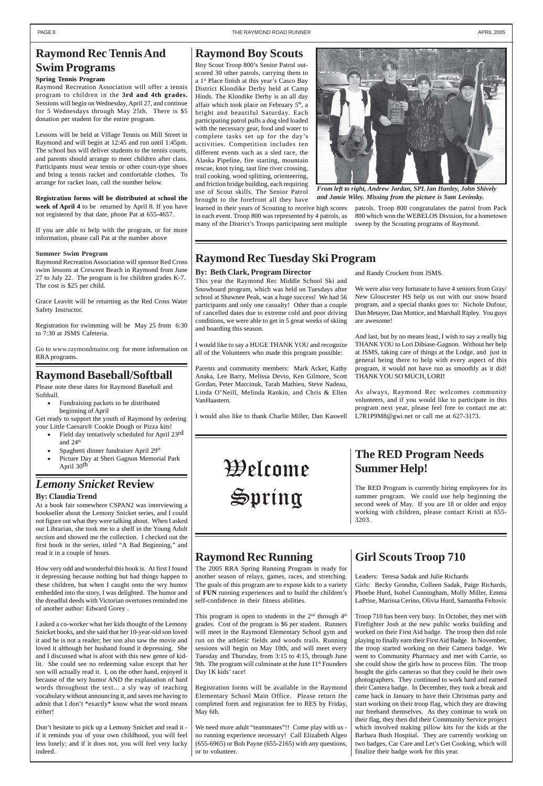### **Girl Scouts Troop 710**

Leaders: Teresa Sadak and Julie Richards Girls: Becky Grondin, Colleen Sadak, Paige Richards, Phoebe Hurd, Isobel Cunningham, Molly Miller, Emma

LaPrise, Marissa Cerino, Olivia Hurd, Samantha Feltovic

Troop 710 has been very busy. In October, they met with Firefighter Josh at the new public works building and worked on their First Aid badge. The troop then did role playing to finally earn their First Aid Badge. In November, the troop started working on their Camera badge. We went to Community Pharmacy and met with Carrie, so she could show the girls how to process film. The troop bought the girls cameras so that they could be their own photographers. They continued to work hard and earned their Camera badge. In December, they took a break and came back in January to have their Christmas party and start working on their troop flag, which they are drawing out freehand themselves. As they continue to work on their flag, they then did their Community Service project which involved making pillow kits for the kids at the Barbara Bush Hospital. They are currently working on two badges, Car Care and Let's Get Cooking, which will finalize their badge work for this year.

*From left to right, Andrew Jordan, SPL Ian Hanley, John Shively and Jamie Wiley. Missing from the picture is Sam Levinsky.*

#### **Raymond Boy Scouts**

Boy Scout Troop 800's Senior Patrol outscored 30 other patrols, carrying them to a 1st Place finish at this year's Casco Bay District Klondike Derby held at Camp Hinds. The Klondike Derby is an all day affair which took place on February 5th, a bright and beautiful Saturday. Each participating patrol pulls a dog sled loaded with the necessary gear, food and water to complete tasks set up for the day's activities. Competition includes ten different events such as a sled race, the Alaska Pipeline, fire starting, mountain rescue, knot tying, taut line river crossing, trail cooking, wood splitting, orienteering, and friction bridge building, each requiring use of Scout skills. The Senior Patrol brought to the forefront all they have

learned in their years of Scouting to receive high scores in each event. Troop 800 was represented by 4 patrols, as many of the District's Troops participating sent multiple

### **The RED Program Needs Summer Help!**

The RED Program is currently hiring employees for its summer program. We could use help beginning the second week of May. If you are 18 or older and enjoy working with children, please contact Kristi at 655- 3203.

### *Lemony Snicket* **Review**

#### **By: Claudia Trend**

At a book fair somewhere CSPAN2 was interviewing a bookseller about the Lemony Snicket series, and I could not figure out what they were talking about. When I asked our Librarian, she took me to a shelf in the Young Adult section and showed me the collection. I checked out the first book in the series, titled "A Bad Beginning," and read it in a couple of hours.

How very odd and wonderful this book is. At first I found it depressing because nothing but bad things happen to these children, but when I caught onto the wry humor embedded into the story, I was delighted. The humor and

the dreadful deeds with Victorian overtones reminded me of another author: Edward Gorey .

> This program is open to students in the  $2<sup>nd</sup>$  through  $4<sup>th</sup>$ grades. Cost of the program is \$6 per student. Runners will meet in the Raymond Elementary School gym and run on the athletic fields and woods trails. Running sessions will begin on May 10th, and will meet every Tuesday and Thursday, from 3:15 to 4:15, through June 9th. The program will culminate at the June 11<sup>th</sup> Founders Day 1K kids' race!

I asked a co-worker what her kids thought of the Lemony Snicket books, and she said that her 10-year-old son loved it and he is not a reader; her son also saw the movie and loved it although her husband found it depressing. She and I discussed what is afoot with this new genre of kidlit. She could see no redeeming value except that her son will actually read it. I, on the other hand, enjoyed it because of the wry humor AND the explanation of hard words throughout the text... a sly way of teaching vocabulary without announcing it, and saves me having to admit that I don't \*exactly\* know what the word means either!

Don't hesitate to pick up a Lemony Snicket and read it if it reminds you of your own childhood, you will feel less lonely; and if it does not, you will feel very lucky indeed.

**By: Beth Clark, Program Director**

This year the Raymond Rec Middle School Ski and Snowboard program, which was held on Tuesdays after school at Shawnee Peak, was a huge success! We had 56 participants and only one casualty! Other than a couple of cancelled dates due to extreme cold and poor driving conditions, we were able to get in 5 great weeks of skiing

and boarding this season.

I would like to say a HUGE THANK YOU and recognize all of the Volunteers who made this program possible:

Parents and community members: Mark Acker, Kathy Anaka, Lee Barry, Melissa Devio, Ken Gilmore, Scott Gordan, Peter Marcinuk, Tarah Mathieu, Steve Nadeau, Linda O'Neill, Melinda Rankin, and Chris & Ellen

VanHaastern.

I would also like to thank Charlie Miller, Dan Kaswell

### **Raymond Rec Tennis And Swim Programs**

#### **Spring Tennis Program**

Raymond Recreation Association will offer a tennis program to children in the **3rd and 4th grades.** Sessions will begin on Wednesday, April 27, and continue for 5 Wednesdays through May 25th. There is \$5 donation per student for the entire program.

Lessons will be held at Village Tennis on Mill Street in Raymond and will begin at 12:45 and run until 1:45pm. The school bus will deliver students to the tennis courts, and parents should arrange to meet children after class. Participants must wear tennis or other court-type shoes and bring a tennis racket and comfortable clothes. To arrange for racket loan, call the number below.

**Registration forms will be distributed at school the week of April 4** to be returned by April 8. If you have not registered by that date, phone Pat at 655-4657.

If you are able to help with the program, or for more information, please call Pat at the number above

#### **Summer Swim Program**

Raymond Recreation Association will sponsor Red Cross swim lessons at Crescent Beach in Raymond from June 27 to July 22. The program is for children grades K-7. The cost is \$25 per child.

Grace Leavitt will be returning as the Red Cross Water Safety Instructor.

Registration for swimming will be May 25 from 6:30 to 7:30 at JSMS Cafeteria.

Go to www.raymondmaine.org for more information on RRA programs.

### **Raymond Rec Running**

The 2005 RRA Spring Running Program is ready for another season of relays, games, races, and stretching. The goals of this program are to expose kids to a variety of **FUN** running experiences and to build the children's

self-confidence in their fitness abilities.

Registration forms will be available in the Raymond Elementary School Main Office. Please return the completed form and registration fee to RES by Friday, May 6th.

We need more adult "teammates"!! Come play with us no running experience necessary! Call Elizabeth Algeo (655-6965) or Bob Payne (655-2165) with any questions, or to volunteer.

### **Raymond Baseball/Softball**

Please note these dates for Raymond Baseball and Softball.

• Fundraising packets to be distributed beginning of April

Get ready to support the youth of Raymond by ordering your Little Caesars® Cookie Dough or Pizza kits!

- Field day tentatively scheduled for April 23rd and 24th
- Spaghetti dinner fundraiser April 29<sup>th</sup>
- Picture Day at Sheri Gagnon Memorial Park April 30th

patrols. Troop 800 congratulates the patrol from Pack 800 which won the WEBELOS Division, for a hometown sweep by the Scouting programs of Raymond.

and Randy Crockett from JSMS.

We were also very fortunate to have 4 seniors from Gray/ New Gloucester HS help us out with our snow board program, and a special thanks goes to: Nichole Dufour, Dan Metayer, Dan Mottice, and Marshall Ripley. You guys are awesome!

And last, but by no means least, I wish to say a really big THANK YOU to Lori Dibiase-Gagnon. Without her help at JSMS, taking care of things at the Lodge, and just in general being there to help with every aspect of this program, it would not have run as smoothly as it did! THANK YOU SO MUCH, LORI**!**

As always, Raymond Rec welcomes community volunteers, and if you would like to participate in this program next year, please feel free to contact me at: L7R1P9M8@gwi.net or call me at 627-3173.

**Raymond Rec Tuesday Ski Program**

Welcome Spring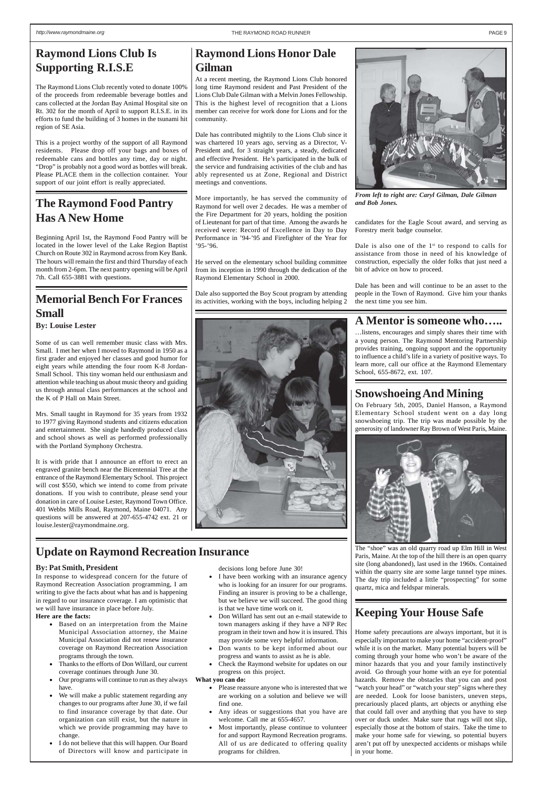#### **A Mentor is someone who…..**

…listens, encourages and simply shares their time with a young person. The Raymond Mentoring Partnership provides training, ongoing support and the opportunity to influence a child's life in a variety of positive ways. To learn more, call our office at the Raymond Elementary School, 655-8672, ext. 107.

#### **Snowshoeing And Mining**

On February 5th, 2005, Daniel Hanson, a Raymond Elementary School student went on a day long snowshoeing trip. The trip was made possible by the generosity of landowner Ray Brown of West Paris, Maine.



The "shoe" was an old quarry road up Elm Hill in West Paris, Maine. At the top of the hill there is an open quarry site (long abandoned), last used in the 1960s. Contained within the quarry site are some large tunnel type mines. The day trip included a little "prospecting" for some quartz, mica and feldspar minerals.



### **The Raymond Food Pantry Has A New Home**

Beginning April 1st, the Raymond Food Pantry will be located in the lower level of the Lake Region Baptist Church on Route 302 in Raymond across from Key Bank. The hours will remain the first and third Thursday of each month from 2-6pm. The next pantry opening will be April 7th. Call 655-3881 with questions.



*From left to right are: Caryl Gilman, Dale Gilman and Bob Jones.*

### **Raymond Lions Club Is Supporting R.I.S.E**

The Raymond Lions Club recently voted to donate 100% of the proceeds from redeemable beverage bottles and cans collected at the Jordan Bay Animal Hospital site on Rt. 302 for the month of April to support R.I.S.E. in its efforts to fund the building of 3 homes in the tsunami hit region of SE Asia.

## **Memorial Bench For Frances**  $\left| \begin{array}{c} \n\text{Date also supported the Boy Scout program by attending } \n\end{array} \right|$  and  $\left| \begin{array}{c} \n\text{Date A B} \n\end{array} \right|$  its activities, working with the boys, including helping 2 **Small**

This is a project worthy of the support of all Raymond residents. Please drop off your bags and boxes of redeemable cans and bottles any time, day or night. "Drop" is probably not a good word as bottles will break. Please PLACE them in the collection container. Your support of our joint effort is really appreciated.

**Raymond Lions Honor Dale**

**Gilman**

At a recent meeting, the Raymond Lions Club honored long time Raymond resident and Past President of the Lions Club Dale Gilman with a Melvin Jones Fellowship. This is the highest level of recognition that a Lions member can receive for work done for Lions and for the

community.

Dale has contributed mightily to the Lions Club since it was chartered 10 years ago, serving as a Director, V-President and, for 3 straight years, a steady, dedicated and effective President. He's participated in the bulk of the service and fundraising activities of the club and has ably represented us at Zone, Regional and District

meetings and conventions.

More importantly, he has served the community of Raymond for well over 2 decades. He was a member of the Fire Department for 20 years, holding the position of Lieutenant for part of that time. Among the awards he received were: Record of Excellence in Day to Day Performance in '94-'95 and Firefighter of the Year for

'95-'96.

He served on the elementary school building committee from its inception in 1990 through the dedication of the

Raymond Elementary School in 2000.

#### **By: Louise Lester**

Some of us can well remember music class with Mrs. Small. I met her when I moved to Raymond in 1950 as a first grader and enjoyed her classes and good humor for eight years while attending the four room K-8 Jordan-Small School. This tiny woman held our enthusiasm and attention while teaching us about music theory and guiding us through annual class performances at the school and the K of P Hall on Main Street.

Dale is also one of the  $1<sup>st</sup>$  to respond to calls for assistance from those in need of his knowledge of construction, especially the older folks that just need a bit of advice on how to proceed.

Mrs. Small taught in Raymond for 35 years from 1932 to 1977 giving Raymond students and citizens education and entertainment. She single handedly produced class and school shows as well as performed professionally with the Portland Symphony Orchestra.

It is with pride that I announce an effort to erect an engraved granite bench near the Bicentennial Tree at the entrance of the Raymond Elementary School. This project will cost \$550, which we intend to come from private donations. If you wish to contribute, please send your donation in care of Louise Lester, Raymond Town Office. 401 Webbs Mills Road, Raymond, Maine 04071. Any questions will be answered at 207-655-4742 ext. 21 or louise.lester@raymondmaine.org.

### **Keeping Your House Safe**

Home safety precautions are always important, but it is especially important to make your home "accident-proof" while it is on the market. Many potential buyers will be coming through your home who won't be aware of the minor hazards that you and your family instinctively avoid. Go through your home with an eye for potential hazards. Remove the obstacles that you can and post "watch your head" or "watch your step" signs where they are needed. Look for loose banisters, uneven steps, precariously placed plants, art objects or anything else that could fall over and anything that you have to step over or duck under. Make sure that rugs will not slip, especially those at the bottom of stairs. Take the time to make your home safe for viewing, so potential buyers aren't put off by unexpected accidents or mishaps while in your home.

#### **By: Pat Smith, President**

In response to widespread concern for the future of Raymond Recreation Association programming, I am writing to give the facts about what has and is happening in regard to our insurance coverage. I am optimistic that we will have insurance in place before July.

#### **Here are the facts:**

- Based on an interpretation from the Maine Municipal Association attorney, the Maine Municipal Association did not renew insurance coverage on Raymond Recreation Association programs through the town.
- Thanks to the efforts of Don Willard, our current coverage continues through June 30.
- Our programs will continue to run as they always have.
- We will make a public statement regarding any changes to our programs after June 30, if we fail to find insurance coverage by that date. Our organization can still exist, but the nature in which we provide programming may have to change.
- I do not believe that this will happen. Our Board of Directors will know and participate in

#### decisions long before June 30!

• I have been working with an insurance agency who is looking for an insurer for our programs. Finding an insurer is proving to be a challenge,

but we believe we will succeed. The good thing is that we have time work on it.

- Don Willard has sent out an e-mail statewide to town managers asking if they have a NFP Rec program in their town and how it is insured. This may provide some very helpful information.
- Don wants to be kept informed about our progress and wants to assist as he is able.
- Check the Raymond website for updates on our progress on this project.

#### **What you can do:**

- Please reassure anyone who is interested that we are working on a solution and believe we will find one.
- Any ideas or suggestions that you have are welcome. Call me at 655-4657.
- Most importantly, please continue to volunteer for and support Raymond Recreation programs. All of us are dedicated to offering quality programs for children.

candidates for the Eagle Scout award, and serving as Forestry merit badge counselor.

Dale has been and will continue to be an asset to the people in the Town of Raymond. Give him your thanks the next time you see him.

### **Update on Raymond Recreation Insurance**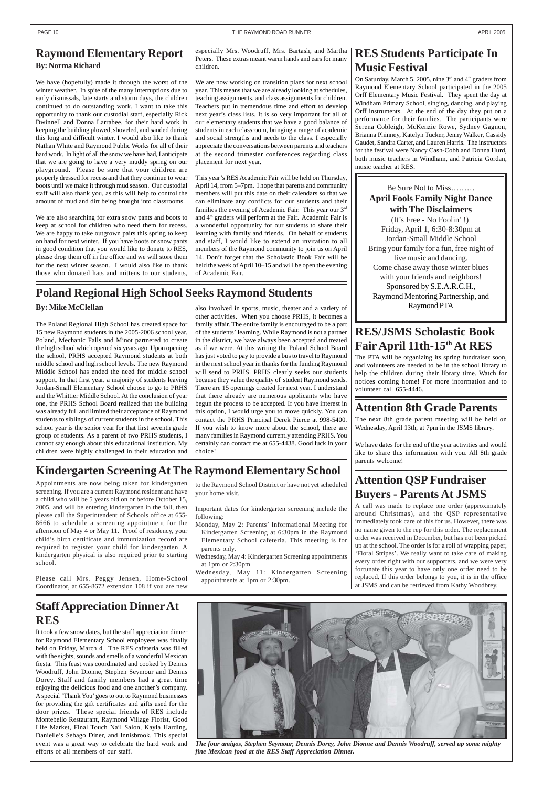### **Staff Appreciation Dinner At RES**

It took a few snow dates, but the staff appreciation dinner for Raymond Elementary School employees was finally held on Friday, March 4. The RES cafeteria was filled with the sights, sounds and smells of a wonderful Mexican fiesta. This feast was coordinated and cooked by Dennis Woodruff, John Dionne, Stephen Seymour and Dennis Dorey. Staff and family members had a great time enjoying the delicious food and one another's company. A special 'Thank You' goes to out to Raymond businesses for providing the gift certificates and gifts used for the door prizes. These special friends of RES include Montebello Restaurant, Raymond Village Florist, Good Life Market, Final Touch Nail Salon, Kayla Harding, Danielle's Sebago Diner, and Innisbrook. This special event was a great way to celebrate the hard work and efforts of all members of our staff.



*The four amigos, Stephen Seymour, Dennis Dorey, John Dionne and Dennis Woodruff, served up some mighty fine Mexican food at the RES Staff Appreciation Dinner.*

#### **Raymond Elementary Report By: Norma Richard**

We have (hopefully) made it through the worst of the winter weather. In spite of the many interruptions due to early dismissals, late starts and storm days, the children continued to do outstanding work. I want to take this opportunity to thank our custodial staff, especially Rick Dwinnell and Donna Larrabee, for their hard work in keeping the building plowed, shoveled, and sanded during this long and difficult winter. I would also like to thank Nathan White and Raymond Public Works for all of their hard work. In light of all the snow we have had, I anticipate that we are going to have a very muddy spring on our playground. Please be sure that your children are properly dressed for recess and that they continue to wear boots until we make it through mud season. Our custodial staff will also thank you, as this will help to control the amount of mud and dirt being brought into classrooms.

We are also searching for extra snow pants and boots to keep at school for children who need them for recess. We are happy to take outgrown pairs this spring to keep on hand for next winter. If you have boots or snow pants in good condition that you would like to donate to RES, please drop them off in the office and we will store them for the next winter season. I would also like to thank those who donated hats and mittens to our students,

On Saturday, March 5, 2005, nine  $3<sup>rd</sup>$  and  $4<sup>th</sup>$  graders from Raymond Elementary School participated in the 2005 Orff Elementary Music Festival. They spent the day at Windham Primary School, singing, dancing, and playing Orff instruments. At the end of the day they put on a performance for their families. The participants were Serena Cobleigh, McKenzie Rowe, Sydney Gagnon, Brianna Phinney, Katelyn Tucker, Jenny Walker, Cassidy Gaudet, Sandra Carter, and Lauren Harris. The instructors for the festival were Nancy Cash-Cobb and Donna Hurd, both music teachers in Windham, and Patricia Gordan, music teacher at RES.

especially Mrs. Woodruff, Mrs. Bartash, and Martha Peters. These extras meant warm hands and ears for many children.

We are now working on transition plans for next school year. This means that we are already looking at schedules, teaching assignments, and class assignments for children. Teachers put in tremendous time and effort to develop next year's class lists. It is so very important for all of our elementary students that we have a good balance of students in each classroom, bringing a range of academic and social strengths and needs to the class. I especially appreciate the conversations between parents and teachers at the second trimester conferences regarding class placement for next year.

This year's RES Academic Fair will be held on Thursday, April 14, from 5–7pm. I hope that parents and community members will put this date on their calendars so that we can eliminate any conflicts for our students and their families the evening of Academic Fair. This year our 3rd and  $4<sup>th</sup>$  graders will perform at the Fair. Academic Fair is a wonderful opportunity for our students to share their learning with family and friends. On behalf of students and staff, I would like to extend an invitation to all members of the Raymond community to join us on April 14. Don't forget that the Scholastic Book Fair will be held the week of April 10–15 and will be open the evening of Academic Fair.

### **RES Students Participate In Music Festival**

### **Attention QSP Fundraiser Buyers - Parents At JSMS**

A call was made to replace one order (approximately around Christmas), and the QSP representative immediately took care of this for us. However, there was no name given to the rep for this order. The replacement order was received in December, but has not been picked up at the school. The order is for a roll of wrapping paper, 'Floral Stripes'. We really want to take care of making every order right with our supporters, and we were very fortunate this year to have only one order need to be replaced. If this order belongs to you, it is in the office at JSMS and can be retrieved from Kathy Woodbrey.

#### **By: Mike McClellan**

The Poland Regional High School has created space for 15 new Raymond students in the 2005-2006 school year. Poland, Mechanic Falls and Minot partnered to create the high school which opened six years ago. Upon opening the school, PRHS accepted Raymond students at both middle school and high school levels. The new Raymond Middle School has ended the need for middle school support. In that first year, a majority of students leaving Jordan-Small Elementary School choose to go to PRHS and the Whittier Middle School. At the conclusion of year one, the PRHS School Board realized that the building was already full and limited their acceptance of Raymond students to siblings of current students in the school. This school year is the senior year for that first seventh grade group of students. As a parent of two PRHS students, I cannot say enough about this educational institution. My children were highly challenged in their education and

also involved in sports, music, theater and a variety of other activities. When you choose PRHS, it becomes a family affair. The entire family is encouraged to be a part of the students' learning. While Raymond is not a partner in the district, we have always been accepted and treated as if we were. At this writing the Poland School Board has just voted to pay to provide a bus to travel to Raymond in the next school year in thanks for the funding Raymond will send to PRHS. PRHS clearly seeks our students because they value the quality of student Raymond sends. There are 15 openings created for next year. I understand that there already are numerous applicants who have begun the process to be accepted. If you have interest in this option, I would urge you to move quickly. You can contact the PRHS Principal Derek Pierce at 998-5400. If you wish to know more about the school, there are many families in Raymond currently attending PRHS. You certainly can contact me at 655-4438. Good luck in your choice!

Appointments are now being taken for kindergarten screening. If you are a current Raymond resident and have a child who will be 5 years old on or before October 15, 2005, and will be entering kindergarten in the fall, then please call the Superintendent of Schools office at 655- 8666 to schedule a screening appointment for the afternoon of May 4 or May 11. Proof of residency, your child's birth certificate and immunization record are required to register your child for kindergarten. A kindergarten physical is also required prior to starting school.

Please call Mrs. Peggy Jensen, Home-School Coordinator, at 655-8672 extension 108 if you are new

## **RES/JSMS Scholastic Book Fair April 11th-15th At RES**

The PTA will be organizing its spring fundraiser soon, and volunteers are needed to be in the school library to help the children during their library time. Watch for notices coming home! For more information and to volunteer call 655-4446.

#### **Attention 8th Grade Parents**

The next 8th grade parent meeting will be held on Wednesday, April 13th, at 7pm in the JSMS library.

We have dates for the end of the year activities and would like to share this information with you. All 8th grade parents welcome!

#### **Poland Regional High School Seeks Raymond Students**

### **Kindergarten Screening At The Raymond Elementary School**

to the Raymond School District or have not yet scheduled your home visit.

Important dates for kindergarten screening include the following:

- Monday, May 2: Parents' Informational Meeting for Kindergarten Screening at 6:30pm in the Raymond Elementary School cafeteria. This meeting is for parents only.
- Wednesday, May 4: Kindergarten Screening appointments at 1pm or 2:30pm
- Wednesday, May 11: Kindergarten Screening appointments at 1pm or 2:30pm.

Be Sure Not to Miss……… **April Fools Family Night Dance with The Disclaimers** (It's Free - No Foolin' !) Friday, April 1, 6:30-8:30pm at Jordan-Small Middle School Bring your family for a fun, free night of live music and dancing. Come chase away those winter blues with your friends and neighbors! Sponsored by S.E.A.R.C.H., Raymond Mentoring Partnership, and Raymond PTA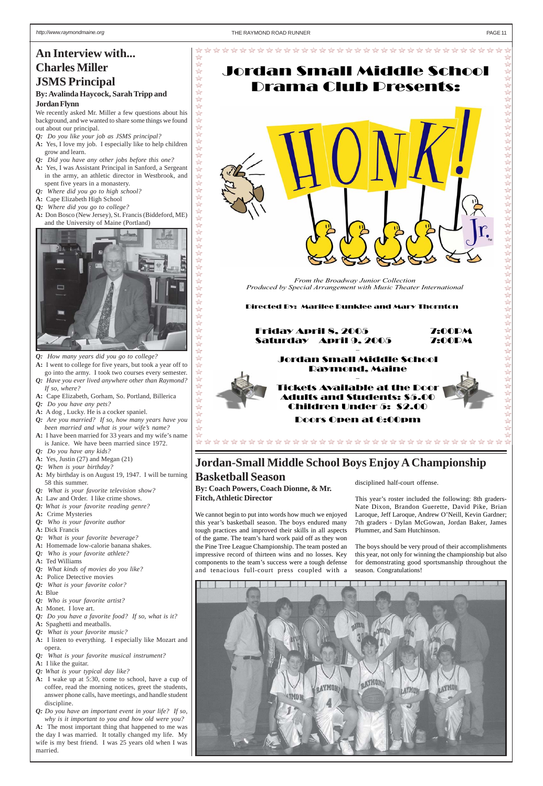**以外外谷** 

 $\frac{1}{2}$  $\overleftrightarrow{2}$  $\frac{1}{2}$  $\overrightarrow{2}$  $\overline{\mathbb{Z}}$  $\overleftrightarrow{2}$  $\overbrace{\mathbb{Z}}$  $\overleftrightarrow{2}$  $\overleftrightarrow{2}$  $\Rightarrow$  $\overrightarrow{2}$  $\overleftrightarrow{2}$  $\frac{1}{2}$ XX

毕毕

路路  $\overline{\mathbb{X}}$  $\approx$ 

\*\*\*\*\*

 $\frac{1}{2}$ 

公公公公

XX

XX

 $\overline{2}$  $\overrightarrow{2}$  $\overrightarrow{2}$  $\sqrt{2}$  $\frac{1}{2}$  $\overleftrightarrow{2}$  $\frac{1}{2}$  $\overleftrightarrow{2}$  $\frac{1}{2}$  $\Rightarrow$   $\overrightarrow{\mathbf{r}}$ 

☆

 Friday April 8, 2005 7:00PM Saturday April 9, 2005 7:00PM -

#### Jordan Small Middle School Raymond, Maine



Doors Open at 6:00pm

\*\*\*\*\*\*\*\*\*\*\*\*\*\*\*\*\*\*\*\*\*\*\*\*\*\*\*\*\*\*\*\*\*\*\*\*

# Jordan Small Middle School Drama Club Presents:



Directed By: Marilee Dunklee and Mary Thornton

*From the Broadway Junior Collection Produced by Special Arrangement with Music Theater International* 

## **An Interview with... Charles Miller JSMS Principal**

#### **By: Avalinda Haycock, Sarah Tripp and Jordan Flynn**

We recently asked Mr. Miller a few questions about his background, and we wanted to share some things we found out about our principal.

- *Q: Do you like your job as JSMS principal?*
- **A:** Yes, I love my job. I especially like to help children grow and learn.
- *Q: Did you have any other jobs before this one?*
- **A:** Yes, I was Assistant Principal in Sanford, a Sergeant in the army, an athletic director in Westbrook, and spent five years in a monastery.
- *Q: Where did you go to high school?*
- **A:** Cape Elizabeth High School
- **Q***: Where did you go to college?*
- **A:** Don Bosco (New Jersey), St. Francis (Biddeford, ME) and the University of Maine (Portland)



- *Q: How many years did you go to college?*
- **A:** I went to college for five years, but took a year off to go into the army. I took two courses every semester.
- *Q: Have you ever lived anywhere other than Raymond? If so, where?*
- **A:** Cape Elizabeth, Gorham, So. Portland, Billerica
- *Q: Do you have any pets?*
- **A:** A dog , Lucky. He is a cocker spaniel.
- *Q: Are you married? If so, how many years have you been married and what is your wife's name?*
- **A:** I have been married for 33 years and my wife's name is Janice. We have been married since 1972.
- *Q: Do you have any kids?*
- **A:** Yes, Justin (27) and Megan (21)
- *Q: When is your birthday?*
- **A:** My birthday is on August 19, 1947. I will be turning 58 this summer.
- *Q: What is your favorite television show?*
- **A:** Law and Order. I like crime shows.
- *Q: What is your favorite reading genre?*
- **A:** Crime Mysteries
- *Q: Who is your favorite author*
- **A:** Dick Francis
- *Q: What is your favorite beverage?*
- **A:** Homemade low-calorie banana shakes.
- *Q: Who is your favorite athlete?*
- **A:** Ted Williams
- *Q: What kinds of movies do you like?*
- **A:** Police Detective movies
- *Q: What is your favorite color?*
- **A:** Blue

#### $\overleftrightarrow{2}$

*Q: Who is your favorite artist?*

**A:** Monet. I love art.

- *Q: Do you have a favorite food? If so, what is it?*
- **A:** Spaghetti and meatballs.
- *Q: What is your favorite music?*
- **A:** I listen to everything. I especially like Mozart and opera.
- *Q: What is your favorite musical instrument?*
- **A:** I like the guitar.
- *Q: What is your typical day like?*
- **A:** I wake up at 5:30, come to school, have a cup of coffee, read the morning notices, greet the students, answer phone calls, have meetings, and handle student discipline.
- *Q: Do you have an important event in your life? If so, why is it important to you and how old were you?* **A:** The most important thing that happened to me was the day I was married. It totally changed my life. My wife is my best friend. I was 25 years old when I was married.

**By: Coach Powers, Coach Dionne, & Mr. Fitch, Athletic Director**

We cannot begin to put into words how much we enjoyed this year's basketball season. The boys endured many tough practices and improved their skills in all aspects of the game. The team's hard work paid off as they won the Pine Tree League Championship. The team posted an impressive record of thirteen wins and no losses. Key components to the team's success were a tough defense and tenacious full-court press coupled with a

### **Jordan-Small Middle School Boys Enjoy A Championship**

## **Basketball Season**<br> **Basketball Season**<br> **Comparison**<br> **Basketball Season**<br> **Basketball Season**

This year's roster included the following: 8th graders-Nate Dixon, Brandon Guerette, David Pike, Brian Laroque, Jeff Laroque, Andrew O'Neill, Kevin Gardner; 7th graders - Dylan McGowan, Jordan Baker, James Plummer, and Sam Hutchinson.

The boys should be very proud of their accomplishments this year, not only for winning the championship but also for demonstrating good sportsmanship throughout the season. Congratulations!